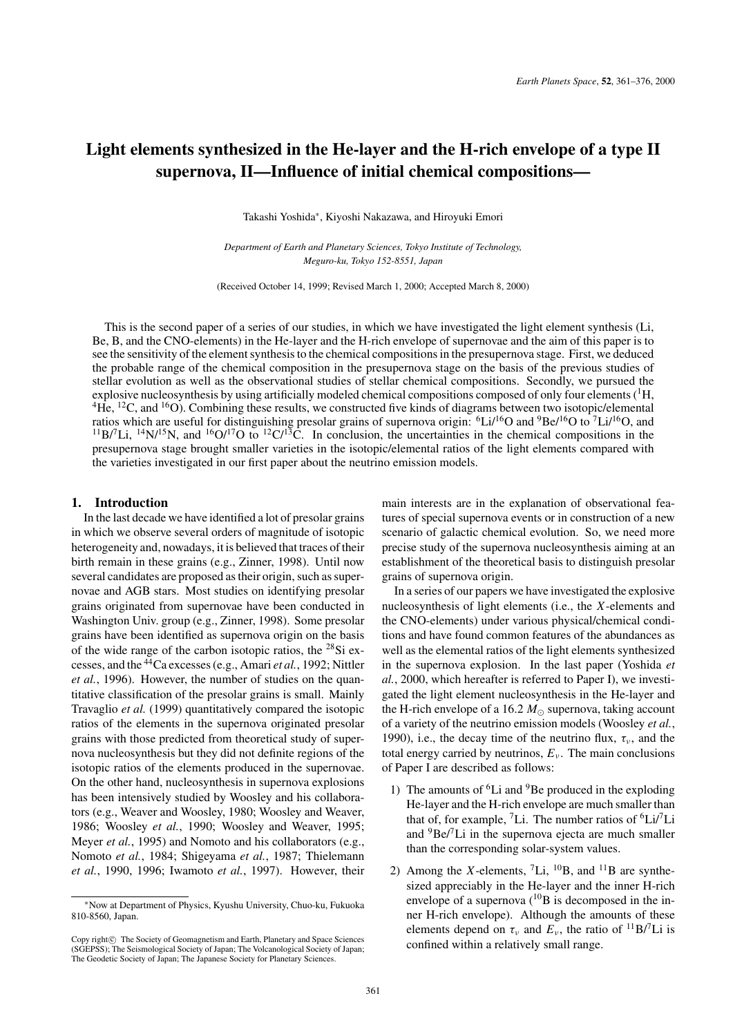# **Light elements synthesized in the He-layer and the H-rich envelope of a type II supernova, II—Influence of initial chemical compositions—**

Takashi Yoshida∗, Kiyoshi Nakazawa, and Hiroyuki Emori

*Department of Earth and Planetary Sciences, Tokyo Institute of Technology, Meguro-ku, Tokyo 152-8551, Japan*

(Received October 14, 1999; Revised March 1, 2000; Accepted March 8, 2000)

This is the second paper of a series of our studies, in which we have investigated the light element synthesis (Li, Be, B, and the CNO-elements) in the He-layer and the H-rich envelope of supernovae and the aim of this paper is to see the sensitivity of the element synthesis to the chemical compositions in the presupernova stage. First, we deduced the probable range of the chemical composition in the presupernova stage on the basis of the previous studies of stellar evolution as well as the observational studies of stellar chemical compositions. Secondly, we pursued the explosive nucleosynthesis by using artificially modeled chemical compositions composed of only four elements  $(^1H,$  ${}^{4}$ He,  ${}^{12}$ C, and  ${}^{16}$ O). Combining these results, we constructed five kinds of diagrams between two isotopic/elemental ratios which are useful for distinguishing presolar grains of supernova origin: <sup>6</sup>Li/<sup>16</sup>O and <sup>9</sup>Be/<sup>16</sup>O to <sup>7</sup>Li/<sup>16</sup>O, and  $^{11}B/Li$ ,  $^{14}N/^{15}N$ , and  $^{16}O/^{17}O$  to  $^{12}C/^{13}C$ . In conclusion, the uncertainties in the chemical compositions in the presupernova stage brought smaller varieties in the isotopic/elemental ratios of the light elements compared with the varieties investigated in our first paper about the neutrino emission models.

#### **1. Introduction**

In the last decade we have identified a lot of presolar grains in which we observe several orders of magnitude of isotopic heterogeneity and, nowadays, it is believed that traces of their birth remain in these grains (e.g., Zinner, 1998). Until now several candidates are proposed as their origin, such as supernovae and AGB stars. Most studies on identifying presolar grains originated from supernovae have been conducted in Washington Univ. group (e.g., Zinner, 1998). Some presolar grains have been identified as supernova origin on the basis of the wide range of the carbon isotopic ratios, the 28Si excesses, and the 44Ca excesses (e.g., Amari *et al.*, 1992; Nittler *et al.*, 1996). However, the number of studies on the quantitative classification of the presolar grains is small. Mainly Travaglio *et al.* (1999) quantitatively compared the isotopic ratios of the elements in the supernova originated presolar grains with those predicted from theoretical study of supernova nucleosynthesis but they did not definite regions of the isotopic ratios of the elements produced in the supernovae. On the other hand, nucleosynthesis in supernova explosions has been intensively studied by Woosley and his collaborators (e.g., Weaver and Woosley, 1980; Woosley and Weaver, 1986; Woosley *et al.*, 1990; Woosley and Weaver, 1995; Meyer *et al.*, 1995) and Nomoto and his collaborators (e.g., Nomoto *et al.*, 1984; Shigeyama *et al.*, 1987; Thielemann *et al.*, 1990, 1996; Iwamoto *et al.*, 1997). However, their main interests are in the explanation of observational features of special supernova events or in construction of a new scenario of galactic chemical evolution. So, we need more precise study of the supernova nucleosynthesis aiming at an establishment of the theoretical basis to distinguish presolar grains of supernova origin.

In a series of our papers we have investigated the explosive nucleosynthesis of light elements (i.e., the *X*-elements and the CNO-elements) under various physical/chemical conditions and have found common features of the abundances as well as the elemental ratios of the light elements synthesized in the supernova explosion. In the last paper (Yoshida *et al.*, 2000, which hereafter is referred to Paper I), we investigated the light element nucleosynthesis in the He-layer and the H-rich envelope of a 16.2  $M_{\odot}$  supernova, taking account of a variety of the neutrino emission models (Woosley *et al.*, 1990), i.e., the decay time of the neutrino flux,  $\tau_{\nu}$ , and the total energy carried by neutrinos,  $E_\nu$ . The main conclusions of Paper I are described as follows:

- 1) The amounts of  ${}^{6}Li$  and  ${}^{9}Be$  produced in the exploding He-layer and the H-rich envelope are much smaller than that of, for example, <sup>7</sup>Li. The number ratios of  ${}^{6}Li/{}^{7}Li$ and  ${}^{9}$ Be/ ${}^{7}$ Li in the supernova ejecta are much smaller than the corresponding solar-system values.
- 2) Among the *X*-elements,  $^7Li$ ,  $^{10}B$ , and  $^{11}B$  are synthesized appreciably in the He-layer and the inner H-rich envelope of a supernova  $(^{10}B)$  is decomposed in the inner H-rich envelope). Although the amounts of these elements depend on  $\tau_v$  and  $E_v$ , the ratio of <sup>11</sup>B/<sup>7</sup>Li is confined within a relatively small range.

<sup>∗</sup>Now at Department of Physics, Kyushu University, Chuo-ku, Fukuoka 810-8560, Japan.

Copy right $\odot$  The Society of Geomagnetism and Earth, Planetary and Space Sciences (SGEPSS); The Seismological Society of Japan; The Volcanological Society of Japan; The Geodetic Society of Japan; The Japanese Society for Planetary Sciences.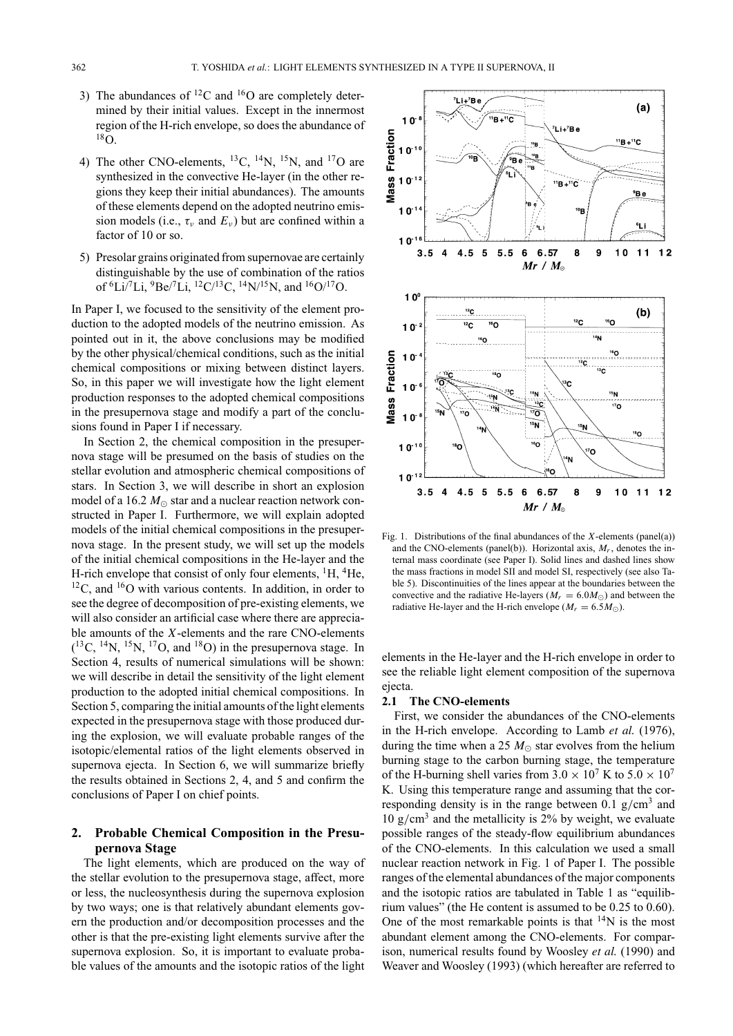- 3) The abundances of  ${}^{12}$ C and  ${}^{16}$ O are completely determined by their initial values. Except in the innermost region of the H-rich envelope, so does the abundance of 18O.
- 4) The other CNO-elements, <sup>13</sup>C, <sup>14</sup>N, <sup>15</sup>N, and <sup>17</sup>O are synthesized in the convective He-layer (in the other regions they keep their initial abundances). The amounts of these elements depend on the adopted neutrino emission models (i.e.,  $\tau_v$  and  $E_v$ ) but are confined within a factor of 10 or so.
- 5) Presolar grains originated from supernovae are certainly distinguishable by the use of combination of the ratios of  ${}^{6}Li/{}^{7}Li, {}^{9}Be/{}^{7}Li, {}^{12}C/{}^{13}C, {}^{14}N/{}^{15}N,$  and  ${}^{16}O/{}^{17}O.$

In Paper I, we focused to the sensitivity of the element production to the adopted models of the neutrino emission. As pointed out in it, the above conclusions may be modified by the other physical/chemical conditions, such as the initial chemical compositions or mixing between distinct layers. So, in this paper we will investigate how the light element production responses to the adopted chemical compositions in the presupernova stage and modify a part of the conclusions found in Paper I if necessary.

In Section 2, the chemical composition in the presupernova stage will be presumed on the basis of studies on the stellar evolution and atmospheric chemical compositions of stars. In Section 3, we will describe in short an explosion model of a 16.2  $M_{\odot}$  star and a nuclear reaction network constructed in Paper I. Furthermore, we will explain adopted models of the initial chemical compositions in the presupernova stage. In the present study, we will set up the models of the initial chemical compositions in the He-layer and the H-rich envelope that consist of only four elements,  ${}^{1}H$ ,  ${}^{4}He$ ,  $12^1$ C, and  $16^1$ O with various contents. In addition, in order to see the degree of decomposition of pre-existing elements, we will also consider an artificial case where there are appreciable amounts of the *X*-elements and the rare CNO-elements  $(^{13}C, ^{14}N, ^{15}N, ^{17}O,$  and  $^{18}O)$  in the presupernova stage. In Section 4, results of numerical simulations will be shown: we will describe in detail the sensitivity of the light element production to the adopted initial chemical compositions. In Section 5, comparing the initial amounts of the light elements expected in the presupernova stage with those produced during the explosion, we will evaluate probable ranges of the isotopic/elemental ratios of the light elements observed in supernova ejecta. In Section 6, we will summarize briefly the results obtained in Sections 2, 4, and 5 and confirm the conclusions of Paper I on chief points.

# **2. Probable Chemical Composition in the Presupernova Stage**

The light elements, which are produced on the way of the stellar evolution to the presupernova stage, affect, more or less, the nucleosynthesis during the supernova explosion by two ways; one is that relatively abundant elements govern the production and/or decomposition processes and the other is that the pre-existing light elements survive after the supernova explosion. So, it is important to evaluate probable values of the amounts and the isotopic ratios of the light



Fig. 1. Distributions of the final abundances of the *X*-elements (panel(a)) and the CNO-elements (panel(b)). Horizontal axis,  $M_r$ , denotes the internal mass coordinate (see Paper I). Solid lines and dashed lines show the mass fractions in model SII and model SI, respectively (see also Table 5). Discontinuities of the lines appear at the boundaries between the convective and the radiative He-layers ( $M_r = 6.0 M_{\odot}$ ) and between the radiative He-layer and the H-rich envelope ( $M_r = 6.5 M_{\odot}$ ).

elements in the He-layer and the H-rich envelope in order to see the reliable light element composition of the supernova ejecta.

#### **2.1 The CNO-elements**

First, we consider the abundances of the CNO-elements in the H-rich envelope. According to Lamb *et al.* (1976), during the time when a 25  $M_{\odot}$  star evolves from the helium burning stage to the carbon burning stage, the temperature of the H-burning shell varies from  $3.0 \times 10^7$  K to  $5.0 \times 10^7$ K. Using this temperature range and assuming that the corresponding density is in the range between 0.1  $g/cm<sup>3</sup>$  and 10  $g/cm<sup>3</sup>$  and the metallicity is 2% by weight, we evaluate possible ranges of the steady-flow equilibrium abundances of the CNO-elements. In this calculation we used a small nuclear reaction network in Fig. 1 of Paper I. The possible ranges of the elemental abundances of the major components and the isotopic ratios are tabulated in Table 1 as "equilibrium values" (the He content is assumed to be 0.25 to 0.60). One of the most remarkable points is that  $14N$  is the most abundant element among the CNO-elements. For comparison, numerical results found by Woosley *et al.* (1990) and Weaver and Woosley (1993) (which hereafter are referred to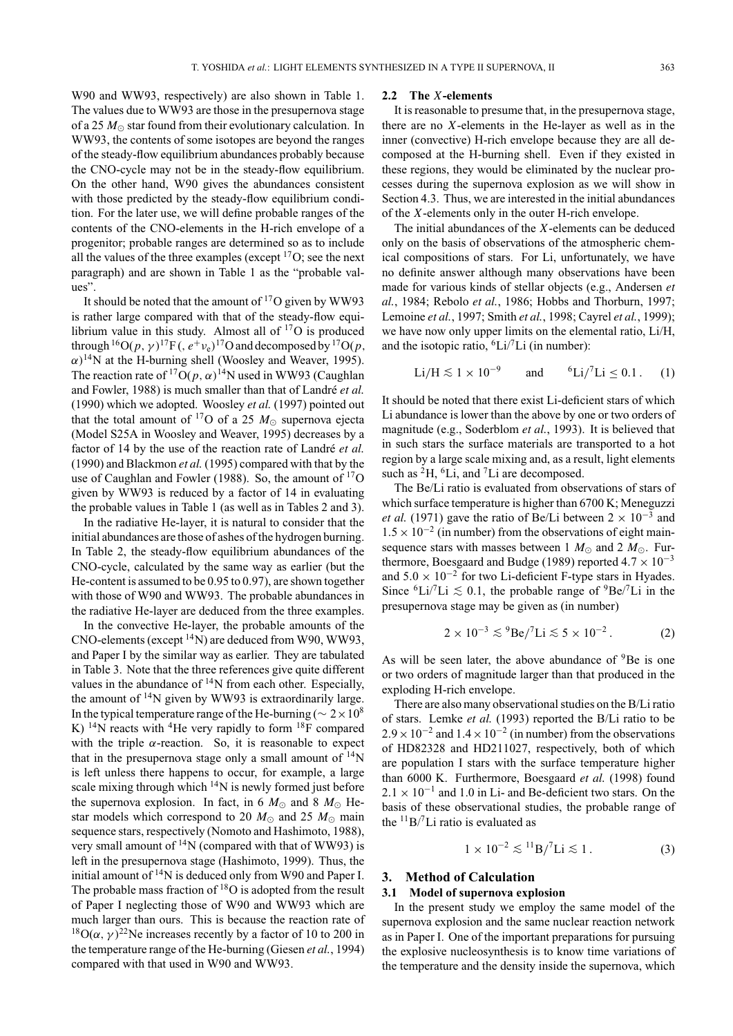W90 and WW93, respectively) are also shown in Table 1. The values due to WW93 are those in the presupernova stage of a 25  $M_{\odot}$  star found from their evolutionary calculation. In WW93, the contents of some isotopes are beyond the ranges of the steady-flow equilibrium abundances probably because the CNO-cycle may not be in the steady-flow equilibrium. On the other hand, W90 gives the abundances consistent with those predicted by the steady-flow equilibrium condition. For the later use, we will define probable ranges of the contents of the CNO-elements in the H-rich envelope of a progenitor; probable ranges are determined so as to include all the values of the three examples (except  $^{17}$ O; see the next paragraph) and are shown in Table 1 as the "probable values".

It should be noted that the amount of  $17O$  given by WW93 is rather large compared with that of the steady-flow equilibrium value in this study. Almost all of  $17O$  is produced through <sup>16</sup>O( $p, \gamma$ )<sup>17</sup>F(,  $e^{+}v_e$ )<sup>17</sup>O and decomposed by <sup>17</sup>O( $p$ ,  $\alpha$ )<sup>14</sup>N at the H-burning shell (Woosley and Weaver, 1995). The reaction rate of <sup>17</sup>O( $p, \alpha$ )<sup>14</sup>N used in WW93 (Caughlan and Fowler, 1988) is much smaller than that of Landré *et al.* (1990) which we adopted. Woosley *et al.* (1997) pointed out that the total amount of <sup>17</sup>O of a 25  $M_{\odot}$  supernova ejecta (Model S25A in Woosley and Weaver, 1995) decreases by a factor of 14 by the use of the reaction rate of Landré *et al.* (1990) and Blackmon *et al.* (1995) compared with that by the use of Caughlan and Fowler (1988). So, the amount of <sup>17</sup>O given by WW93 is reduced by a factor of 14 in evaluating the probable values in Table 1 (as well as in Tables 2 and 3).

In the radiative He-layer, it is natural to consider that the initial abundances are those of ashes of the hydrogen burning. In Table 2, the steady-flow equilibrium abundances of the CNO-cycle, calculated by the same way as earlier (but the He-content is assumed to be 0.95 to 0.97), are shown together with those of W90 and WW93. The probable abundances in the radiative He-layer are deduced from the three examples.

In the convective He-layer, the probable amounts of the CNO-elements (except 14N) are deduced from W90, WW93, and Paper I by the similar way as earlier. They are tabulated in Table 3. Note that the three references give quite different values in the abundance of  $14N$  from each other. Especially, the amount of  $14N$  given by WW93 is extraordinarily large. In the typical temperature range of the He-burning ( $\sim 2 \times 10^8$ K) <sup>14</sup>N reacts with <sup>4</sup>He very rapidly to form <sup>18</sup>F compared with the triple  $\alpha$ -reaction. So, it is reasonable to expect that in the presupernova stage only a small amount of  $\rm ^{14}N$ is left unless there happens to occur, for example, a large scale mixing through which  $14N$  is newly formed just before the supernova explosion. In fact, in 6  $M_{\odot}$  and 8  $M_{\odot}$  Hestar models which correspond to 20  $M_{\odot}$  and 25  $M_{\odot}$  main sequence stars, respectively (Nomoto and Hashimoto, 1988), very small amount of  $14N$  (compared with that of WW93) is left in the presupernova stage (Hashimoto, 1999). Thus, the initial amount of 14N is deduced only from W90 and Paper I. The probable mass fraction of  ${}^{18}O$  is adopted from the result of Paper I neglecting those of W90 and WW93 which are much larger than ours. This is because the reaction rate of <sup>18</sup>O( $\alpha$ ,  $\gamma$ )<sup>22</sup>Ne increases recently by a factor of 10 to 200 in the temperature range of the He-burning (Giesen *et al.*, 1994) compared with that used in W90 and WW93.

#### **2.2 The** *X***-elements**

It is reasonable to presume that, in the presupernova stage, there are no *X*-elements in the He-layer as well as in the inner (convective) H-rich envelope because they are all decomposed at the H-burning shell. Even if they existed in these regions, they would be eliminated by the nuclear processes during the supernova explosion as we will show in Section 4.3. Thus, we are interested in the initial abundances of the *X*-elements only in the outer H-rich envelope.

The initial abundances of the *X*-elements can be deduced only on the basis of observations of the atmospheric chemical compositions of stars. For Li, unfortunately, we have no definite answer although many observations have been made for various kinds of stellar objects (e.g., Andersen *et al.*, 1984; Rebolo *et al.*, 1986; Hobbs and Thorburn, 1997; Lemoine *et al.*, 1997; Smith *et al.*, 1998; Cayrel *et al.*, 1999); we have now only upper limits on the elemental ratio, Li/H, and the isotopic ratio,  ${}^{6}Li/{}^{7}Li$  (in number):

$$
\text{Li/H} \lesssim 1 \times 10^{-9}
$$
 and  ${}^{6}\text{Li}/{}^{7}\text{Li} \leq 0.1$ . (1)

It should be noted that there exist Li-deficient stars of which Li abundance is lower than the above by one or two orders of magnitude (e.g., Soderblom *et al.*, 1993). It is believed that in such stars the surface materials are transported to a hot region by a large scale mixing and, as a result, light elements such as  ${}^{2}H$ ,  ${}^{6}Li$ , and  ${}^{7}Li$  are decomposed.

The Be/Li ratio is evaluated from observations of stars of which surface temperature is higher than 6700 K; Meneguzzi *et al.* (1971) gave the ratio of Be/Li between  $2 \times 10^{-3}$  and  $1.5 \times 10^{-2}$  (in number) from the observations of eight mainsequence stars with masses between 1  $M_{\odot}$  and 2  $M_{\odot}$ . Furthermore, Boesgaard and Budge (1989) reported  $4.7 \times 10^{-3}$ and  $5.0 \times 10^{-2}$  for two Li-deficient F-type stars in Hyades. Since <sup>6</sup>Li/<sup>7</sup>Li ≤ 0.1, the probable range of <sup>9</sup>Be/<sup>7</sup>Li in the presupernova stage may be given as (in number)

$$
2 \times 10^{-3} \lesssim {}^{9} \text{Be}/{}^{7} \text{Li} \lesssim 5 \times 10^{-2} \,. \tag{2}
$$

As will be seen later, the above abundance of <sup>9</sup>Be is one or two orders of magnitude larger than that produced in the exploding H-rich envelope.

There are also many observational studies on the B/Li ratio of stars. Lemke *et al.* (1993) reported the B/Li ratio to be  $2.9 \times 10^{-2}$  and  $1.4 \times 10^{-2}$  (in number) from the observations of HD82328 and HD211027, respectively, both of which are population I stars with the surface temperature higher than 6000 K. Furthermore, Boesgaard *et al.* (1998) found  $2.1 \times 10^{-1}$  and 1.0 in Li- and Be-deficient two stars. On the basis of these observational studies, the probable range of the  $^{11}B/I$  ratio is evaluated as

$$
1 \times 10^{-2} \lesssim {}^{11}B/{}^{7}Li \lesssim 1.
$$
 (3)

### **3. Method of Calculation**

### **3.1 Model of supernova explosion**

In the present study we employ the same model of the supernova explosion and the same nuclear reaction network as in Paper I. One of the important preparations for pursuing the explosive nucleosynthesis is to know time variations of the temperature and the density inside the supernova, which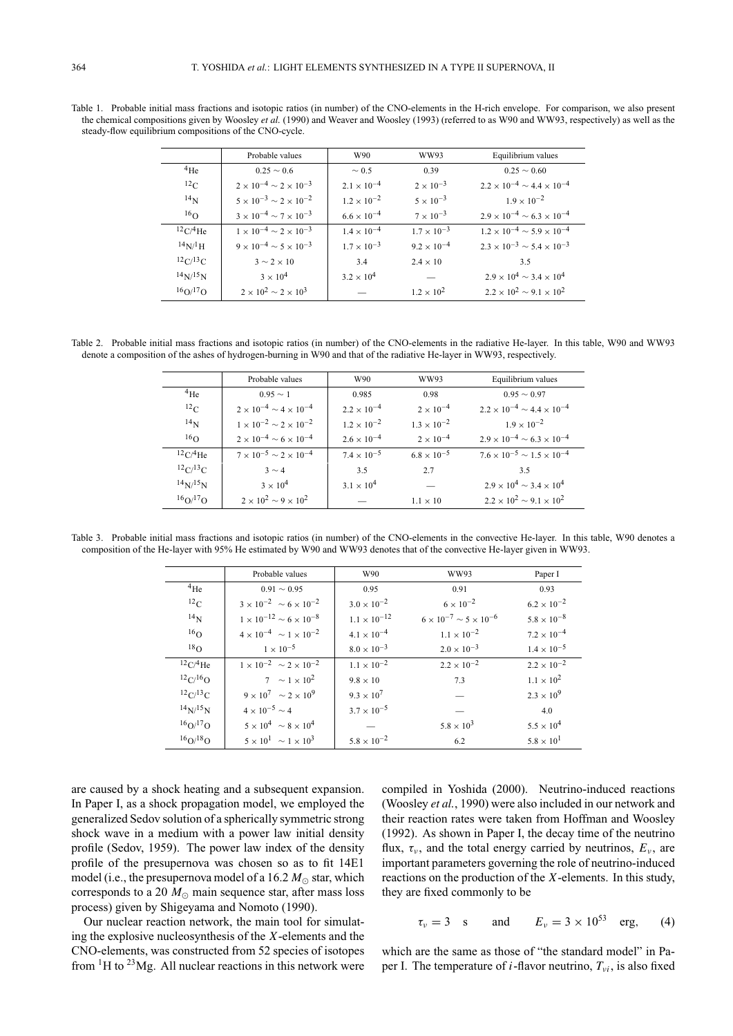Probable values W90 WW93 Equilibrium values 4He  $0.25 \sim 0.6$   $\sim 0.5$  0.39 0.25 ∼ 0.60 12C <sup>2</sup> <sup>×</sup> <sup>10</sup>−<sup>4</sup> <sup>∼</sup> <sup>2</sup> <sup>×</sup> <sup>10</sup>−<sup>3</sup> <sup>2</sup>.<sup>1</sup> <sup>×</sup> <sup>10</sup>−<sup>4</sup> <sup>2</sup> <sup>×</sup> <sup>10</sup>−<sup>3</sup> <sup>2</sup>.<sup>2</sup> <sup>×</sup> <sup>10</sup>−<sup>4</sup> <sup>∼</sup> <sup>4</sup>.<sup>4</sup> <sup>×</sup> <sup>10</sup>−<sup>4</sup> 14N  $5 \times 10^{-3} \sim 2 \times 10^{-2}$   $1.2 \times 10^{-2}$   $5 \times 10^{-3}$   $1.9 \times 10^{-2}$ <br>16O  $3 \times 10^{-4} \sim 7 \times 10^{-3}$   $6.6 \times 10^{-4}$   $7 \times 10^{-3}$   $2.9 \times 10^{-4} \sim 6.3$  $7 \times 10^{-3}$  2.9 × 10<sup>-4</sup> ~ 6.3 × 10<sup>-4</sup>  $12 \text{C}/4\text{He}$  1 × 10<sup>-4</sup> ~ 2 × 10<sup>-3</sup> 1.4 × 10<sup>-4</sup> 1.7 × 10<sup>-3</sup> 1.2 × 10<sup>-4</sup> ~ 5.9 × 10<sup>-4</sup>  $14N/1H$  9 × 10<sup>-4</sup> ~ 5 × 10<sup>-3</sup> 1.7 × 10<sup>-3</sup> 9.2 × 10<sup>-4</sup> 2.3 × 10<sup>-3</sup> ~ 5.4 × 10<sup>-3</sup><br> $12C/13C$  3 ~ 2 × 10<br>3.4 2.4 × 10<br>3.5  $12 \text{C}/13 \text{C}$  3 ∼ 2 × 10 3.4 2.4 × 10 3.5 14N/15N <sup>3</sup> <sup>×</sup> <sup>10</sup><sup>4</sup> <sup>3</sup>.<sup>2</sup> <sup>×</sup> <sup>10</sup><sup>4</sup> — <sup>2</sup>.<sup>9</sup> <sup>×</sup> <sup>10</sup><sup>4</sup> <sup>∼</sup> <sup>3</sup>.<sup>4</sup> <sup>×</sup> <sup>10</sup><sup>4</sup>  $1.2 \times 10^2$  2.2 × 10<sup>2</sup> ~ 9.1 × 10<sup>2</sup>

Table 1. Probable initial mass fractions and isotopic ratios (in number) of the CNO-elements in the H-rich envelope. For comparison, we also present the chemical compositions given by Woosley *et al.* (1990) and Weaver and Woosley (1993) (referred to as W90 and WW93, respectively) as well as the steady-flow equilibrium compositions of the CNO-cycle.

Table 2. Probable initial mass fractions and isotopic ratios (in number) of the CNO-elements in the radiative He-layer. In this table, W90 and WW93 denote a composition of the ashes of hydrogen-burning in W90 and that of the radiative He-layer in WW93, respectively.

|                                      | Probable values                          | W90                  | WW93                 | Equilibrium values                           |
|--------------------------------------|------------------------------------------|----------------------|----------------------|----------------------------------------------|
| $^{4}$ He                            | $0.95 \sim 1$                            | 0.985                | 0.98                 | $0.95 \sim 0.97$                             |
| $^{12}$ C                            | $2 \times 10^{-4} \sim 4 \times 10^{-4}$ | $2.2 \times 10^{-4}$ | $2 \times 10^{-4}$   | $2.2 \times 10^{-4} \sim 4.4 \times 10^{-4}$ |
| $^{14}$ N                            | $1 \times 10^{-2} \sim 2 \times 10^{-2}$ | $1.2 \times 10^{-2}$ | $1.3 \times 10^{-2}$ | $1.9 \times 10^{-2}$                         |
| 16 <sub>O</sub>                      | $2 \times 10^{-4} \sim 6 \times 10^{-4}$ | $2.6 \times 10^{-4}$ | $2 \times 10^{-4}$   | $2.9 \times 10^{-4} \sim 6.3 \times 10^{-4}$ |
| $^{12}C/^{4}He$                      | $7 \times 10^{-5} \sim 2 \times 10^{-4}$ | $7.4 \times 10^{-5}$ | $6.8 \times 10^{-5}$ | $7.6 \times 10^{-5} \sim 1.5 \times 10^{-4}$ |
| ${}^{12}C/{}^{13}C$                  | $3 \sim 4$                               | 3.5                  | 2.7                  | 3.5                                          |
| $14$ <sub>N/</sub> $15$ <sub>N</sub> | $3 \times 10^4$                          | $3.1 \times 10^{4}$  |                      | $2.9 \times 10^4 \sim 3.4 \times 10^4$       |
| $16Q^{17}$ O                         | $2 \times 10^2 \sim 9 \times 10^2$       |                      | $1.1 \times 10^{-7}$ | $2.2 \times 10^2 \sim 9.1 \times 10^2$       |

Table 3. Probable initial mass fractions and isotopic ratios (in number) of the CNO-elements in the convective He-layer. In this table, W90 denotes a composition of the He-layer with 95% He estimated by W90 and WW93 denotes that of the convective He-layer given in WW93.

|                 | Probable values                           | W90                   | WW93                                     | Paper I              |
|-----------------|-------------------------------------------|-----------------------|------------------------------------------|----------------------|
| $^{4}$ He       | $0.91 \sim 0.95$                          | 0.95                  | 0.91                                     | 0.93                 |
| $^{12}$ C       | $3 \times 10^{-2} \sim 6 \times 10^{-2}$  | $3.0 \times 10^{-2}$  | $6 \times 10^{-2}$                       | $6.2 \times 10^{-2}$ |
| 14 <sub>N</sub> | $1 \times 10^{-12} \sim 6 \times 10^{-8}$ | $1.1 \times 10^{-12}$ | $6 \times 10^{-7} \sim 5 \times 10^{-6}$ | $5.8 \times 10^{-8}$ |
| 16 <sub>O</sub> | $4 \times 10^{-4} \sim 1 \times 10^{-2}$  | $4.1 \times 10^{-4}$  | $1.1 \times 10^{-2}$                     | $7.2 \times 10^{-4}$ |
| 18 <sub>O</sub> | $1 \times 10^{-5}$                        | $8.0 \times 10^{-3}$  | $2.0 \times 10^{-3}$                     | $1.4 \times 10^{-5}$ |
| 12C/4He         | $1 \times 10^{-2} \sim 2 \times 10^{-2}$  | $1.1 \times 10^{-2}$  | $2.2 \times 10^{-2}$                     | $2.2 \times 10^{-2}$ |
| 12C/16O         | $7 \sim 1 \times 10^2$                    | $9.8 \times 10$       | 7.3                                      | $1.1 \times 10^{2}$  |
| 12C/13C         | $9 \times 10^7 \sim 2 \times 10^9$        | $9.3 \times 10^{7}$   |                                          | $2.3 \times 10^{9}$  |
| $14N^{15}N$     | $4 \times 10^{-5} \sim 4$                 | $3.7 \times 10^{-5}$  |                                          | 4.0                  |
| $16Q^{17}$ O    | $5 \times 10^4 \sim 8 \times 10^4$        |                       | $5.8 \times 10^{3}$                      | $5.5 \times 10^{4}$  |
| 16Q/18Q         | $5 \times 10^{1} \sim 1 \times 10^{3}$    | $5.8 \times 10^{-2}$  | 6.2                                      | $5.8 \times 10^{1}$  |

are caused by a shock heating and a subsequent expansion. In Paper I, as a shock propagation model, we employed the generalized Sedov solution of a spherically symmetric strong shock wave in a medium with a power law initial density profile (Sedov, 1959). The power law index of the density profile of the presupernova was chosen so as to fit 14E1 model (i.e., the presupernova model of a 16.2  $M_{\odot}$  star, which corresponds to a 20  $M_{\odot}$  main sequence star, after mass loss process) given by Shigeyama and Nomoto (1990).

Our nuclear reaction network, the main tool for simulating the explosive nucleosynthesis of the *X*-elements and the CNO-elements, was constructed from 52 species of isotopes from  ${}^{1}$ H to  ${}^{23}$ Mg. All nuclear reactions in this network were

compiled in Yoshida (2000). Neutrino-induced reactions (Woosley *et al.*, 1990) were also included in our network and their reaction rates were taken from Hoffman and Woosley (1992). As shown in Paper I, the decay time of the neutrino flux,  $\tau_{\nu}$ , and the total energy carried by neutrinos,  $E_{\nu}$ , are important parameters governing the role of neutrino-induced reactions on the production of the *X*-elements. In this study, they are fixed commonly to be

$$
\tau_{\nu} = 3
$$
 s and  $E_{\nu} = 3 \times 10^{53}$  erg, (4)

which are the same as those of "the standard model" in Paper I. The temperature of *i*-flavor neutrino,  $T_{vi}$ , is also fixed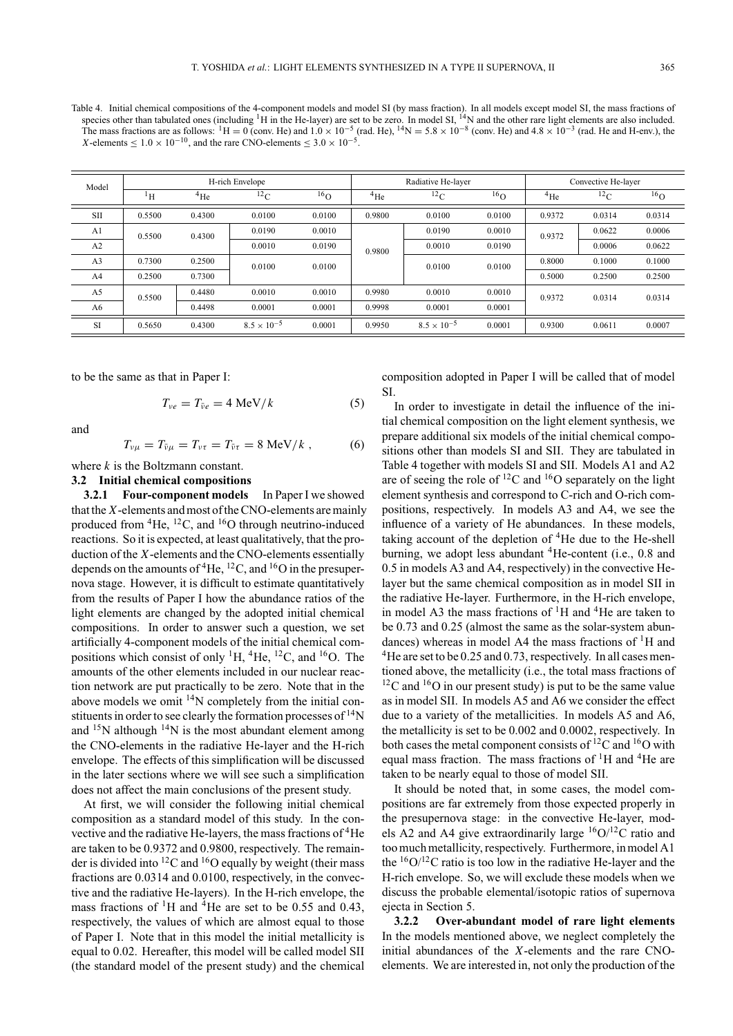Table 4. Initial chemical compositions of the 4-component models and model SI (by mass fraction). In all models except model SI, the mass fractions of species other than tabulated ones (including  ${}^{1}H$  in the He-layer) are set to be zero. In model SI,  ${}^{14}N$  and the other rare light elements are also included. The mass fractions are as follows:  ${}^{1}H = 0$  (conv. He) and  $1.0 \times 10^{-5}$  (rad. He),  ${}^{14}N = 5.8 \times 10^{-8}$  (conv. He) and  $4.8 \times 10^{-3}$  (rad. He and H-env.), the *X*-elements  $\leq 1.0 \times 10^{-10}$ , and the rare CNO-elements  $\leq 3.0 \times 10^{-5}$ .

| Model          | H-rich Envelope |           |                      | Radiative He-layer |           |                      | Convective He-layer |           |           |           |
|----------------|-----------------|-----------|----------------------|--------------------|-----------|----------------------|---------------------|-----------|-----------|-----------|
|                | ŀн              | $^{4}$ He | $^{12}$ C            | 16 <sub>O</sub>    | $^{4}$ He | $^{12}$ C            | 16 <sub>O</sub>     | $^{4}$ He | $^{12}$ C | $^{16}$ O |
| <b>SII</b>     | 0.5500          | 0.4300    | 0.0100               | 0.0100             | 0.9800    | 0.0100               | 0.0100              | 0.9372    | 0.0314    | 0.0314    |
| A1             | 0.5500          | 0.4300    | 0.0190               | 0.0010             | 0.9800    | 0.0190               | 0.0010              | 0.9372    | 0.0622    | 0.0006    |
| A <sub>2</sub> |                 |           | 0.0010               | 0.0190             |           | 0.0010               | 0.0190              |           | 0.0006    | 0.0622    |
| A <sub>3</sub> | 0.7300          | 0.2500    | 0.0100               | 0.0100             |           | 0.0100               | 0.0100              | 0.8000    | 0.1000    | 0.1000    |
| A <sub>4</sub> | 0.2500          | 0.7300    |                      |                    |           |                      |                     | 0.5000    | 0.2500    | 0.2500    |
| A <sub>5</sub> | 0.5500          | 0.4480    | 0.0010               | 0.0010             | 0.9980    | 0.0010               | 0.0010              | 0.9372    | 0.0314    | 0.0314    |
| A6             |                 | 0.4498    | 0.0001<br>0.0001     |                    | 0.9998    | 0.0001<br>0.0001     |                     |           |           |           |
| <b>SI</b>      | 0.5650          | 0.4300    | $8.5 \times 10^{-5}$ | 0.0001             | 0.9950    | $8.5 \times 10^{-5}$ | 0.0001              | 0.9300    | 0.0611    | 0.0007    |

to be the same as that in Paper I:

$$
T_{\nu e} = T_{\bar{\nu}e} = 4 \text{ MeV}/k \tag{5}
$$

and

$$
T_{\nu\mu} = T_{\bar{\nu}\mu} = T_{\nu\tau} = T_{\bar{\nu}\tau} = 8 \text{ MeV}/k , \qquad (6)
$$

where *k* is the Boltzmann constant.

### **3.2 Initial chemical compositions**

**3.2.1 Four-component models** In Paper I we showed that the *X*-elements and most of the CNO-elements are mainly produced from  ${}^{4}$ He,  ${}^{12}$ C, and  ${}^{16}$ O through neutrino-induced reactions. So it is expected, at least qualitatively, that the production of the *X*-elements and the CNO-elements essentially depends on the amounts of  ${}^{4}$ He,  ${}^{12}$ C, and  ${}^{16}$ O in the presupernova stage. However, it is difficult to estimate quantitatively from the results of Paper I how the abundance ratios of the light elements are changed by the adopted initial chemical compositions. In order to answer such a question, we set artificially 4-component models of the initial chemical compositions which consist of only  ${}^{1}H$ ,  ${}^{4}He$ ,  ${}^{12}C$ , and  ${}^{16}O$ . The amounts of the other elements included in our nuclear reaction network are put practically to be zero. Note that in the above models we omit  $14N$  completely from the initial constituents in order to see clearly the formation processes of  $\rm ^{14}N$ and  $15N$  although  $14N$  is the most abundant element among the CNO-elements in the radiative He-layer and the H-rich envelope. The effects of this simplification will be discussed in the later sections where we will see such a simplification does not affect the main conclusions of the present study.

At first, we will consider the following initial chemical composition as a standard model of this study. In the convective and the radiative He-layers, the mass fractions of 4He are taken to be 0.9372 and 0.9800, respectively. The remainder is divided into <sup>12</sup>C and <sup>16</sup>O equally by weight (their mass fractions are 0.0314 and 0.0100, respectively, in the convective and the radiative He-layers). In the H-rich envelope, the mass fractions of  ${}^{1}$ H and  ${}^{4}$ He are set to be 0.55 and 0.43, respectively, the values of which are almost equal to those of Paper I. Note that in this model the initial metallicity is equal to 0.02. Hereafter, this model will be called model SII (the standard model of the present study) and the chemical

composition adopted in Paper I will be called that of model SI.

In order to investigate in detail the influence of the initial chemical composition on the light element synthesis, we prepare additional six models of the initial chemical compositions other than models SI and SII. They are tabulated in Table 4 together with models SI and SII. Models A1 and A2 are of seeing the role of  ${}^{12}$ C and  ${}^{16}$ O separately on the light element synthesis and correspond to C-rich and O-rich compositions, respectively. In models A3 and A4, we see the influence of a variety of He abundances. In these models, taking account of the depletion of <sup>4</sup>He due to the He-shell burning, we adopt less abundant  ${}^{4}$ He-content (i.e., 0.8 and 0.5 in models A3 and A4, respectively) in the convective Helayer but the same chemical composition as in model SII in the radiative He-layer. Furthermore, in the H-rich envelope, in model A3 the mass fractions of  ${}^{1}H$  and  ${}^{4}He$  are taken to be 0.73 and 0.25 (almost the same as the solar-system abundances) whereas in model A4 the mass fractions of  ${}^{1}H$  and <sup>4</sup>He are set to be 0.25 and 0.73, respectively. In all cases mentioned above, the metallicity (i.e., the total mass fractions of  $12^{\circ}$ C and  $16^{\circ}$  in our present study) is put to be the same value as in model SII. In models A5 and A6 we consider the effect due to a variety of the metallicities. In models A5 and A6, the metallicity is set to be 0.002 and 0.0002, respectively. In both cases the metal component consists of  ${}^{12}C$  and  ${}^{16}O$  with equal mass fraction. The mass fractions of  ${}^{1}H$  and  ${}^{4}He$  are taken to be nearly equal to those of model SII.

It should be noted that, in some cases, the model compositions are far extremely from those expected properly in the presupernova stage: in the convective He-layer, models A2 and A4 give extraordinarily large  ${}^{16}O/{}^{12}C$  ratio and too much metallicity, respectively. Furthermore, in model A1 the  $16O/12C$  ratio is too low in the radiative He-layer and the H-rich envelope. So, we will exclude these models when we discuss the probable elemental/isotopic ratios of supernova ejecta in Section 5.

**3.2.2 Over-abundant model of rare light elements** In the models mentioned above, we neglect completely the initial abundances of the *X*-elements and the rare CNOelements. We are interested in, not only the production of the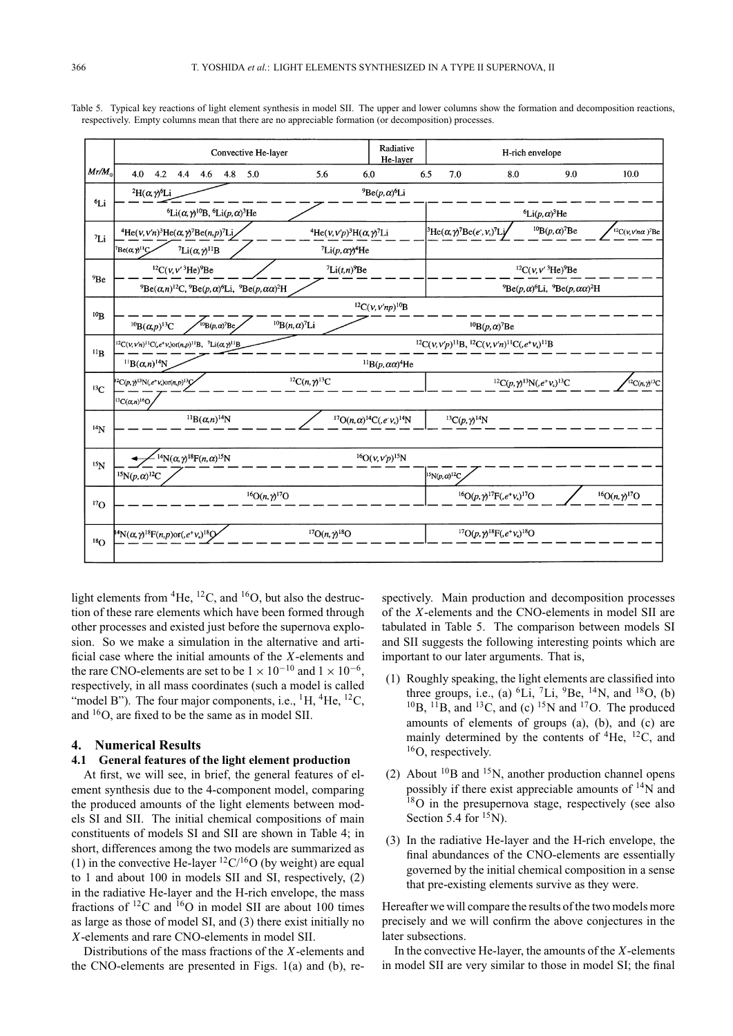|                 | Radiative<br>Convective He-layer<br>He-layer                                                                                                                                                                                                                      |                                                                                    |                                                                                                                                                                     | H-rich envelope |                                       |                                                 |                                                          |  |                                |
|-----------------|-------------------------------------------------------------------------------------------------------------------------------------------------------------------------------------------------------------------------------------------------------------------|------------------------------------------------------------------------------------|---------------------------------------------------------------------------------------------------------------------------------------------------------------------|-----------------|---------------------------------------|-------------------------------------------------|----------------------------------------------------------|--|--------------------------------|
| $Mr/M_{\odot}$  | 4.2<br>4.0<br>4.4<br>$4.6$ $4.8$<br>5.0                                                                                                                                                                                                                           | 5.6                                                                                | 6.0                                                                                                                                                                 | 6.5             | 7.0                                   | 8.0                                             | 9.0                                                      |  | 10.0                           |
| 6Li             | ${}^{9}Be(p,\alpha)$ <sup>6</sup> Li<br>${}^{2}H(\alpha,\gamma)^{6}Li$                                                                                                                                                                                            |                                                                                    |                                                                                                                                                                     |                 |                                       |                                                 |                                                          |  |                                |
|                 | <sup>6</sup> Li( $\alpha$ , $\gamma$ <sup>10</sup> B, <sup>6</sup> Li( $p$ , $\alpha$ ) <sup>3</sup> He                                                                                                                                                           |                                                                                    | ${}^6\text{Li}(p,\alpha){}^3\text{He}$                                                                                                                              |                 |                                       |                                                 |                                                          |  |                                |
| $^7Li$          | <sup>4</sup> He(v, v'n) <sup>3</sup> He( $\alpha$ , $\gamma$ <sup>7</sup> Be(n, p) <sup>7</sup> Li                                                                                                                                                                | ${}^{4}$ He(v, v'p) <sup>3</sup> H( $\alpha$ , $\gamma$ <sup>7</sup> Li            | ${}^{10}B(p,\alpha)$ <sup>7</sup> Be<br>${}^{3}\text{He}(\alpha, \gamma) {}^{7}\text{Be}(e^{\cdot}, \nu_{c}) {}^{7}\text{Lj}$<br>$12C(v,v'n\alpha)$ <sup>7</sup> Be |                 |                                       |                                                 |                                                          |  |                                |
|                 | $^7$ Be( $\alpha$ $\gamma$ <sup>11</sup> $\zeta$<br>$^7Li(\alpha, \gamma)^{11}B$                                                                                                                                                                                  | $\int$ Li(p, $\alpha \gamma$ <sup>4</sup> He                                       |                                                                                                                                                                     |                 |                                       |                                                 |                                                          |  |                                |
| <sup>9</sup> Be | ${}^{12}C(v, v' 3$ He) <sup>9</sup> Be                                                                                                                                                                                                                            |                                                                                    | ${}^{12}C(v, v' 3$ He) <sup>9</sup> Be                                                                                                                              |                 |                                       |                                                 |                                                          |  |                                |
|                 | ${}^{9}Be(\alpha, n)$ <sup>12</sup> C, ${}^{9}Be(p, \alpha)$ <sup>6</sup> Li, ${}^{9}Be(p, \alpha\alpha)$ <sup>2</sup> H                                                                                                                                          |                                                                                    |                                                                                                                                                                     |                 |                                       |                                                 | $^{9}Be(p,\alpha)^{6}Li$ , $^{9}Be(p,\alpha\alpha)^{2}H$ |  |                                |
| $^{10}B$        |                                                                                                                                                                                                                                                                   |                                                                                    | ${}^{12}C(\nu, \nu'np)$ <sup>10</sup> B                                                                                                                             |                 |                                       |                                                 |                                                          |  |                                |
|                 | $^{10}B(p,\alpha)^7Be$<br>${}^{10}B(\alpha,p){}^{13}C$                                                                                                                                                                                                            | ${}^{10}B(n,\alpha)^7Li$                                                           |                                                                                                                                                                     |                 |                                       | ${}^{10}B(p,\alpha)$ <sup>7</sup> Be            |                                                          |  |                                |
| $^{11}B$        | ${}^{12}{\rm C}(\nu,\nu'p){}^{11}{\rm B},\, {}^{12}{\rm C}(\nu,\nu'n){}^{11}{\rm C}(\mathit{e}^{+}\nu_{\mathrm{e}}){}^{11}{\rm B}$<br>${}^{12}C(v, v'n)$ <sup>11</sup> C(e <sup>+</sup> v,)or(n,p) <sup>11</sup> B, <sup>7</sup> Li( $\alpha$ ,y <sup>11</sup> B) |                                                                                    |                                                                                                                                                                     |                 |                                       |                                                 |                                                          |  |                                |
|                 | ${}^{11}B(\alpha,n)$ <sup>14</sup> N                                                                                                                                                                                                                              |                                                                                    | $^{11}B(p,\alpha\alpha)^4$ He                                                                                                                                       |                 |                                       |                                                 |                                                          |  |                                |
| ${}^{13}C$      | ${}^{12}C(p, \gamma) {}^{13}N(e^+\nu)$ or(n,p) ${}^{13}C$                                                                                                                                                                                                         | ${}^{12}C(n, \gamma) {}^{13}C$                                                     |                                                                                                                                                                     |                 |                                       |                                                 | ${}^{12}C(p, \gamma) {}^{13}N(_{,}e^{+}V_{e}) {}^{13}C$  |  | ${}^{12}C(n, \gamma) {}^{13}C$ |
|                 | ${}^{13}C(\alpha, n) {}^{16}O$                                                                                                                                                                                                                                    |                                                                                    |                                                                                                                                                                     |                 |                                       |                                                 |                                                          |  |                                |
| $^{14}N$        | $^{11}B(\alpha,n)^{14}N$                                                                                                                                                                                                                                          |                                                                                    | ${}^{17}O(n,\alpha){}^{14}C(.e^-\nu_e){}^{14}N$                                                                                                                     |                 | ${}^{13}C(p, \gamma)$ <sup>14</sup> N |                                                 |                                                          |  |                                |
|                 |                                                                                                                                                                                                                                                                   |                                                                                    |                                                                                                                                                                     |                 |                                       |                                                 |                                                          |  |                                |
| $^{15}N$        | $14N(\alpha, \gamma)$ <sup>18</sup> F(n, $\alpha)$ <sup>15</sup> N                                                                                                                                                                                                |                                                                                    | ${}^{16}O(v, v'p)$ <sup>15</sup> N                                                                                                                                  |                 |                                       |                                                 |                                                          |  |                                |
|                 | $^{15}{\rm N}(p,\alpha)^{12}{\rm C}$                                                                                                                                                                                                                              |                                                                                    |                                                                                                                                                                     |                 | $^{15}N(p,\alpha)^{12}C$              |                                                 |                                                          |  |                                |
|                 | ${}^{16}O(n, \gamma) {}^{17}O$                                                                                                                                                                                                                                    | ${}^{16}O(p, \gamma) {}^{17}F(.e^+v_e) {}^{17}O$<br>${}^{16}O(n, \gamma) {}^{17}O$ |                                                                                                                                                                     |                 |                                       |                                                 |                                                          |  |                                |
| $^{17}O$        |                                                                                                                                                                                                                                                                   |                                                                                    |                                                                                                                                                                     |                 |                                       |                                                 |                                                          |  |                                |
|                 | $^{14}N(\alpha, \gamma)^{18}F(n, p)$ or(, $e^+v_e$ ) <sup>18</sup> Q                                                                                                                                                                                              | ${}^{17}O(n, \gamma) {}^{18}O$                                                     |                                                                                                                                                                     |                 |                                       | ${}^{17}O(p, \gamma) {}^{18}F(e^+v_e) {}^{18}O$ |                                                          |  |                                |
| $^{18}$ O       |                                                                                                                                                                                                                                                                   |                                                                                    |                                                                                                                                                                     |                 |                                       |                                                 |                                                          |  |                                |

Table 5. Typical key reactions of light element synthesis in model SII. The upper and lower columns show the formation and decomposition reactions, respectively. Empty columns mean that there are no appreciable formation (or decomposition) processes.

light elements from  ${}^{4}$ He,  ${}^{12}$ C, and  ${}^{16}$ O, but also the destruction of these rare elements which have been formed through other processes and existed just before the supernova explosion. So we make a simulation in the alternative and artificial case where the initial amounts of the *X*-elements and the rare CNO-elements are set to be  $1 \times 10^{-10}$  and  $1 \times 10^{-6}$ . respectively, in all mass coordinates (such a model is called "model B"). The four major components, i.e.,  ${}^{1}H$ ,  ${}^{4}He$ ,  ${}^{12}C$ , and 16O, are fixed to be the same as in model SII.

#### **4. Numerical Results**

# **4.1 General features of the light element production**

At first, we will see, in brief, the general features of element synthesis due to the 4-component model, comparing the produced amounts of the light elements between models SI and SII. The initial chemical compositions of main constituents of models SI and SII are shown in Table 4; in short, differences among the two models are summarized as (1) in the convective He-layer  ${}^{12}C/{}^{16}O$  (by weight) are equal to 1 and about 100 in models SII and SI, respectively, (2) in the radiative He-layer and the H-rich envelope, the mass fractions of  ${}^{12}$ C and  ${}^{16}$ O in model SII are about 100 times as large as those of model SI, and (3) there exist initially no *X*-elements and rare CNO-elements in model SII.

Distributions of the mass fractions of the *X*-elements and the CNO-elements are presented in Figs. 1(a) and (b), respectively. Main production and decomposition processes of the *X*-elements and the CNO-elements in model SII are tabulated in Table 5. The comparison between models SI and SII suggests the following interesting points which are important to our later arguments. That is,

- (1) Roughly speaking, the light elements are classified into three groups, i.e., (a) <sup>6</sup>Li, <sup>7</sup>Li, <sup>9</sup>Be, <sup>14</sup>N, and <sup>18</sup>O, (b)  $^{10}$ B,  $^{11}$ B, and  $^{13}$ C, and (c)  $^{15}$ N and  $^{17}$ O. The produced amounts of elements of groups (a), (b), and (c) are mainly determined by the contents of  ${}^{4}$ He,  ${}^{12}$ C, and <sup>16</sup>O, respectively.
- (2) About  $^{10}$ B and  $^{15}$ N, another production channel opens possibly if there exist appreciable amounts of  $\rm ^{14}N$  and  $18$ O in the presupernova stage, respectively (see also Section 5.4 for  ${}^{15}$ N).
- (3) In the radiative He-layer and the H-rich envelope, the final abundances of the CNO-elements are essentially governed by the initial chemical composition in a sense that pre-existing elements survive as they were.

Hereafter we will compare the results of the two models more precisely and we will confirm the above conjectures in the later subsections.

In the convective He-layer, the amounts of the *X*-elements in model SII are very similar to those in model SI; the final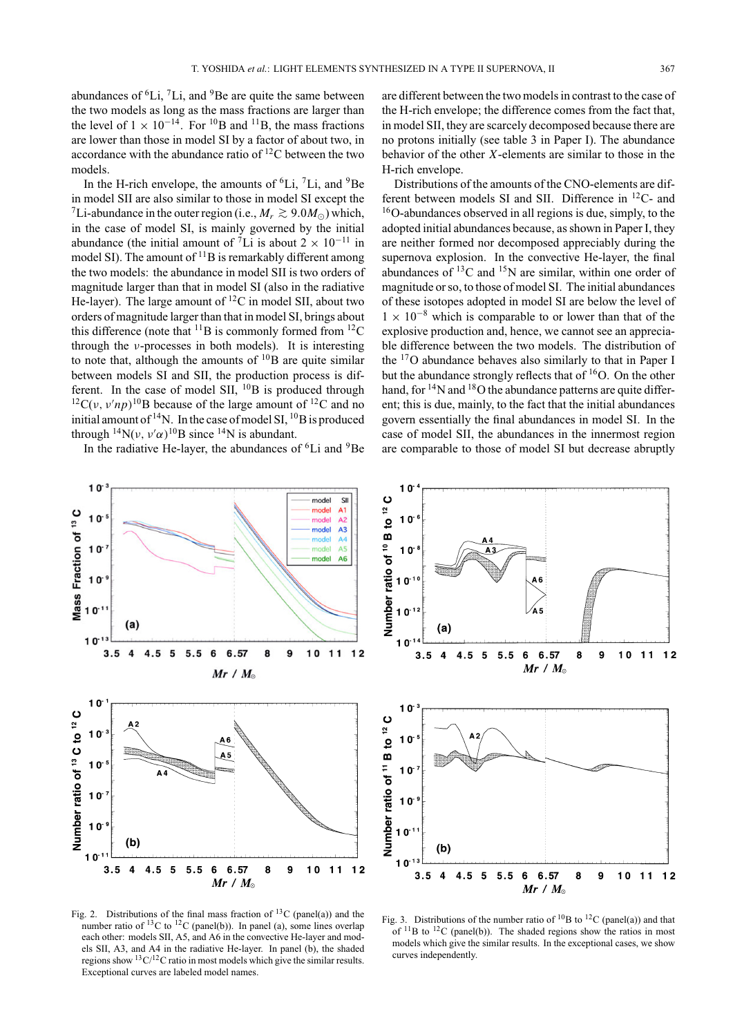abundances of  ${}^{6}$ Li,  ${}^{7}$ Li, and  ${}^{9}$ Be are quite the same between the two models as long as the mass fractions are larger than the level of  $1 \times 10^{-14}$ . For <sup>10</sup>B and <sup>11</sup>B, the mass fractions are lower than those in model SI by a factor of about two, in accordance with the abundance ratio of 12C between the two models.

In the H-rich envelope, the amounts of  ${}^{6}Li$ ,  ${}^{7}Li$ , and  ${}^{9}Be$ in model SII are also similar to those in model SI except the <sup>7</sup>Li-abundance in the outer region (i.e.,  $M_r \gtrsim 9.0 M_{\odot}$ ) which, in the case of model SI, is mainly governed by the initial abundance (the initial amount of  ${}^{7}Li$  is about 2 × 10<sup>-11</sup> in model SI). The amount of  $^{11}B$  is remarkably different among the two models: the abundance in model SII is two orders of magnitude larger than that in model SI (also in the radiative He-layer). The large amount of  ${}^{12}C$  in model SII, about two orders of magnitude larger than that in model SI, brings about this difference (note that  $^{11}B$  is commonly formed from  $^{12}C$ through the *v*-processes in both models). It is interesting to note that, although the amounts of  $10B$  are quite similar between models SI and SII, the production process is different. In the case of model SII,  $^{10}B$  is produced through <sup>12</sup>C(*v*,  $v'np$ )<sup>10</sup>B because of the large amount of <sup>12</sup>C and no initial amount of  $14$ N. In the case of model SI,  $10$ B is produced through  ${}^{14}N(\nu, \nu'\alpha) {}^{10}B$  since  ${}^{14}N$  is abundant.

In the radiative He-layer, the abundances of  ${}^{6}Li$  and  ${}^{9}Be$ 

are different between the two models in contrast to the case of the H-rich envelope; the difference comes from the fact that, in model SII, they are scarcely decomposed because there are no protons initially (see table 3 in Paper I). The abundance behavior of the other *X*-elements are similar to those in the H-rich envelope.

Distributions of the amounts of the CNO-elements are different between models SI and SII. Difference in 12C- and 16O-abundances observed in all regions is due, simply, to the adopted initial abundances because, as shown in Paper I, they are neither formed nor decomposed appreciably during the supernova explosion. In the convective He-layer, the final abundances of  ${}^{13}C$  and  ${}^{15}N$  are similar, within one order of magnitude or so, to those of model SI. The initial abundances of these isotopes adopted in model SI are below the level of  $1 \times 10^{-8}$  which is comparable to or lower than that of the explosive production and, hence, we cannot see an appreciable difference between the two models. The distribution of the 17O abundance behaves also similarly to that in Paper I but the abundance strongly reflects that of <sup>16</sup>O. On the other hand, for  $14$ N and  $18$ O the abundance patterns are quite different; this is due, mainly, to the fact that the initial abundances govern essentially the final abundances in model SI. In the case of model SII, the abundances in the innermost region are comparable to those of model SI but decrease abruptly



 $10$ Number ratio of 10 B to 12 C  $10$  $10$  $10^{-1}$  $10<sup>-1</sup>$  $(a)$  $10$  $3.5$  $\overline{4}$  $4.5 \t5 \t5.5$ 6 6.57 8 9  $10$ 11 12  $Mr / M_{\odot}$  $10$ Number ratio of <sup>11</sup> B to <sup>12</sup> C  $10$  $10$  $10$  $10<sup>1</sup>$  $(b)$  $10$  $3.5$  $\overline{4}$ 4.5 5 5.5 6 6.57 8 9 10 11 12  $Mr / M_{\odot}$ 

Fig. 2. Distributions of the final mass fraction of <sup>13</sup>C (panel(a)) and the number ratio of <sup>13</sup>C to <sup>12</sup>C (panel(b)). In panel (a), some lines overlap each other: models SII, A5, and A6 in the convective He-layer and models SII, A3, and A4 in the radiative He-layer. In panel (b), the shaded regions show  ${}^{13}C/{}^{12}C$  ratio in most models which give the similar results. Exceptional curves are labeled model names.

Fig. 3. Distributions of the number ratio of  ${}^{10}B$  to  ${}^{12}C$  (panel(a)) and that of  $^{11}$ B to  $^{12}$ C (panel(b)). The shaded regions show the ratios in most models which give the similar results. In the exceptional cases, we show curves independently.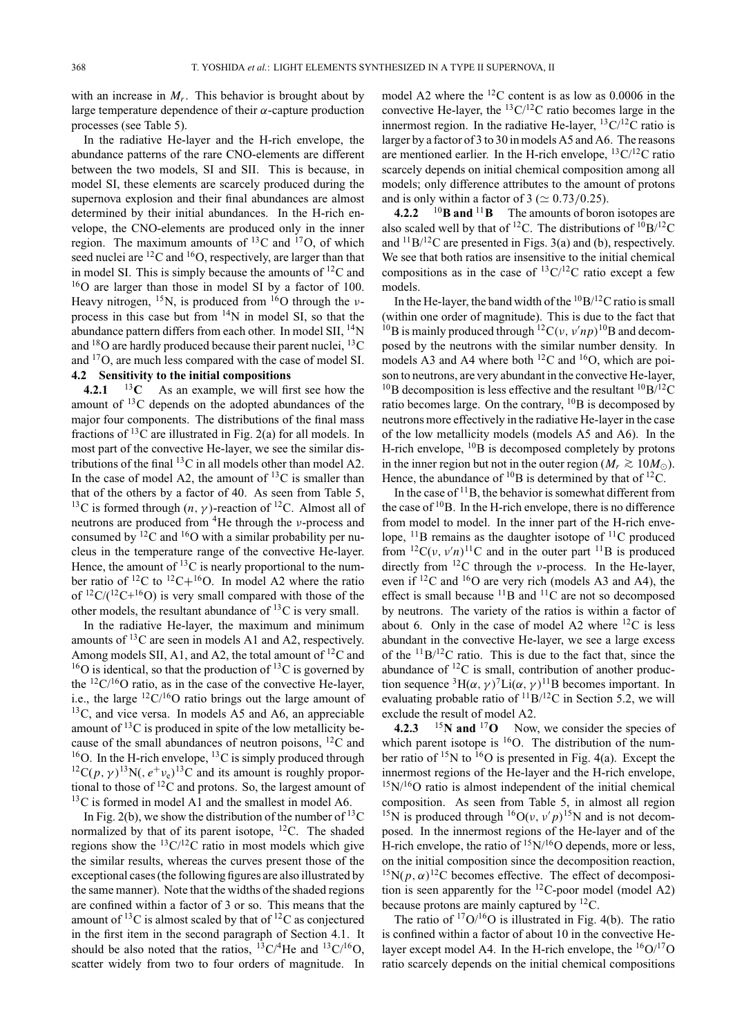with an increase in  $M_r$ . This behavior is brought about by large temperature dependence of their  $\alpha$ -capture production processes (see Table 5).

In the radiative He-layer and the H-rich envelope, the abundance patterns of the rare CNO-elements are different between the two models, SI and SII. This is because, in model SI, these elements are scarcely produced during the supernova explosion and their final abundances are almost determined by their initial abundances. In the H-rich envelope, the CNO-elements are produced only in the inner region. The maximum amounts of  $^{13}$ C and  $^{17}$ O, of which seed nuclei are <sup>12</sup>C and <sup>16</sup>O, respectively, are larger than that in model SI. This is simply because the amounts of  ${}^{12}C$  and 16O are larger than those in model SI by a factor of 100. Heavy nitrogen,  $^{15}N$ , is produced from  $^{16}O$  through the *v*process in this case but from 14N in model SI, so that the abundance pattern differs from each other. In model SII,  $^{14}$ N and  $^{18}$ O are hardly produced because their parent nuclei,  $^{13}$ C and 17O, are much less compared with the case of model SI.

# **4.2 Sensitivity to the initial compositions**

**4.2.1** <sup>13</sup> $\mathbf{C}$  As an example, we will first see how the amount of 13C depends on the adopted abundances of the major four components. The distributions of the final mass fractions of 13C are illustrated in Fig. 2(a) for all models. In most part of the convective He-layer, we see the similar distributions of the final  $^{13}$ C in all models other than model A2. In the case of model A2, the amount of  $^{13}$ C is smaller than that of the others by a factor of 40. As seen from Table 5, <sup>13</sup>C is formed through  $(n, \gamma)$ -reaction of <sup>12</sup>C. Almost all of neutrons are produced from 4He through the ν-process and consumed by  ${}^{12}C$  and  ${}^{16}O$  with a similar probability per nucleus in the temperature range of the convective He-layer. Hence, the amount of  ${}^{13}C$  is nearly proportional to the number ratio of  ${}^{12}C$  to  ${}^{12}C+{}^{16}O$ . In model A2 where the ratio of  ${}^{12}C/({}^{12}C+{}^{16}O)$  is very small compared with those of the other models, the resultant abundance of  ${}^{13}C$  is very small.

In the radiative He-layer, the maximum and minimum amounts of 13C are seen in models A1 and A2, respectively. Among models SII, A1, and A2, the total amount of  ${}^{12}C$  and  $16$ O is identical, so that the production of  $13$ C is governed by the  $12C/16O$  ratio, as in the case of the convective He-layer, i.e., the large  ${}^{12}$ C/<sup>16</sup>O ratio brings out the large amount of  $13C$ , and vice versa. In models A5 and A6, an appreciable amount of  ${}^{13}C$  is produced in spite of the low metallicity because of the small abundances of neutron poisons,  ${}^{12}C$  and <sup>16</sup>O. In the H-rich envelope, <sup>13</sup>C is simply produced through <sup>12</sup>C(*p*,  $\gamma$ <sup>13</sup>N(,  $e^+v_e$ )<sup>13</sup>C and its amount is roughly proportional to those of  ${}^{12}C$  and protons. So, the largest amount of <sup>13</sup>C is formed in model A1 and the smallest in model A6.

In Fig. 2(b), we show the distribution of the number of  $^{13}C$ normalized by that of its parent isotope,  $^{12}$ C. The shaded regions show the  ${}^{13}C/{}^{12}C$  ratio in most models which give the similar results, whereas the curves present those of the exceptional cases (the following figures are also illustrated by the same manner). Note that the widths of the shaded regions are confined within a factor of 3 or so. This means that the amount of <sup>13</sup>C is almost scaled by that of <sup>12</sup>C as conjectured in the first item in the second paragraph of Section 4.1. It should be also noted that the ratios,  ${}^{13}C/{}^{4}He$  and  ${}^{13}C/{}^{16}O$ , scatter widely from two to four orders of magnitude. In

model A2 where the 12C content is as low as 0.0006 in the convective He-layer, the  $^{13}C/^{12}C$  ratio becomes large in the innermost region. In the radiative He-layer,  ${}^{13}C/{}^{12}C$  ratio is larger by a factor of 3 to 30 in models A5 and A6. The reasons are mentioned earlier. In the H-rich envelope,  ${}^{13}C/{}^{12}C$  ratio scarcely depends on initial chemical composition among all models; only difference attributes to the amount of protons and is only within a factor of  $3 \approx 0.73/0.25$ .

**4.2.2** <sup>10</sup>**B and** <sup>11</sup>**B** The amounts of boron isotopes are also scaled well by that of <sup>12</sup>C. The distributions of  $1^{10}B/12C$ and  $^{11}B/^{12}C$  are presented in Figs. 3(a) and (b), respectively. We see that both ratios are insensitive to the initial chemical compositions as in the case of  ${}^{13}C/{}^{12}C$  ratio except a few models.

In the He-layer, the band width of the  ${}^{10}B/{}^{12}C$  ratio is small (within one order of magnitude). This is due to the fact that <sup>10</sup>B is mainly produced through <sup>12</sup>C( $v, v'np$ <sup>10</sup>B and decomposed by the neutrons with the similar number density. In models A3 and A4 where both  $^{12}$ C and  $^{16}$ O, which are poison to neutrons, are very abundant in the convective He-layer, <sup>10</sup>B decomposition is less effective and the resultant <sup>10</sup>B/<sup>12</sup>C ratio becomes large. On the contrary,  ${}^{10}B$  is decomposed by neutrons more effectively in the radiative He-layer in the case of the low metallicity models (models A5 and A6). In the H-rich envelope,  $^{10}$ B is decomposed completely by protons in the inner region but not in the outer region ( $M_r \gtrsim 10 M_{\odot}$ ). Hence, the abundance of  ${}^{10}B$  is determined by that of  ${}^{12}C$ .

In the case of  $11B$ , the behavior is somewhat different from the case of  $10B$ . In the H-rich envelope, there is no difference from model to model. In the inner part of the H-rich envelope,  $^{11}$ B remains as the daughter isotope of  $^{11}$ C produced from  ${}^{12}C(v, v'n)$ <sup>11</sup>C and in the outer part <sup>11</sup>B is produced directly from  $^{12}$ C through the *ν*-process. In the He-layer, even if  $^{12}$ C and  $^{16}$ O are very rich (models A3 and A4), the effect is small because  ${}^{11}B$  and  ${}^{11}C$  are not so decomposed by neutrons. The variety of the ratios is within a factor of about 6. Only in the case of model A2 where  ${}^{12}C$  is less abundant in the convective He-layer, we see a large excess of the  $11B/12C$  ratio. This is due to the fact that, since the abundance of 12C is small, contribution of another production sequence  ${}^{3}H(\alpha, \gamma)^{7}Li(\alpha, \gamma)^{11}B$  becomes important. In evaluating probable ratio of  $^{11}B/^{12}C$  in Section 5.2, we will exclude the result of model A2.

**4.2.3** <sup>15</sup>**N** and <sup>17</sup>**O** Now, we consider the species of which parent isotope is  ${}^{16}O$ . The distribution of the number ratio of  $15N$  to  $16$ O is presented in Fig. 4(a). Except the innermost regions of the He-layer and the H-rich envelope,  $15N/16O$  ratio is almost independent of the initial chemical composition. As seen from Table 5, in almost all region <sup>15</sup>N is produced through <sup>16</sup>O( $v$ ,  $v'p$ )<sup>15</sup>N and is not decomposed. In the innermost regions of the He-layer and of the H-rich envelope, the ratio of  $15N/16O$  depends, more or less, on the initial composition since the decomposition reaction, <sup>15</sup>N( $p, \alpha$ )<sup>12</sup>C becomes effective. The effect of decomposition is seen apparently for the  ${}^{12}$ C-poor model (model A2) because protons are mainly captured by  ${}^{12}C$ .

The ratio of  $17O/16O$  is illustrated in Fig. 4(b). The ratio is confined within a factor of about 10 in the convective Helayer except model A4. In the H-rich envelope, the  $^{16}O/^{17}O$ ratio scarcely depends on the initial chemical compositions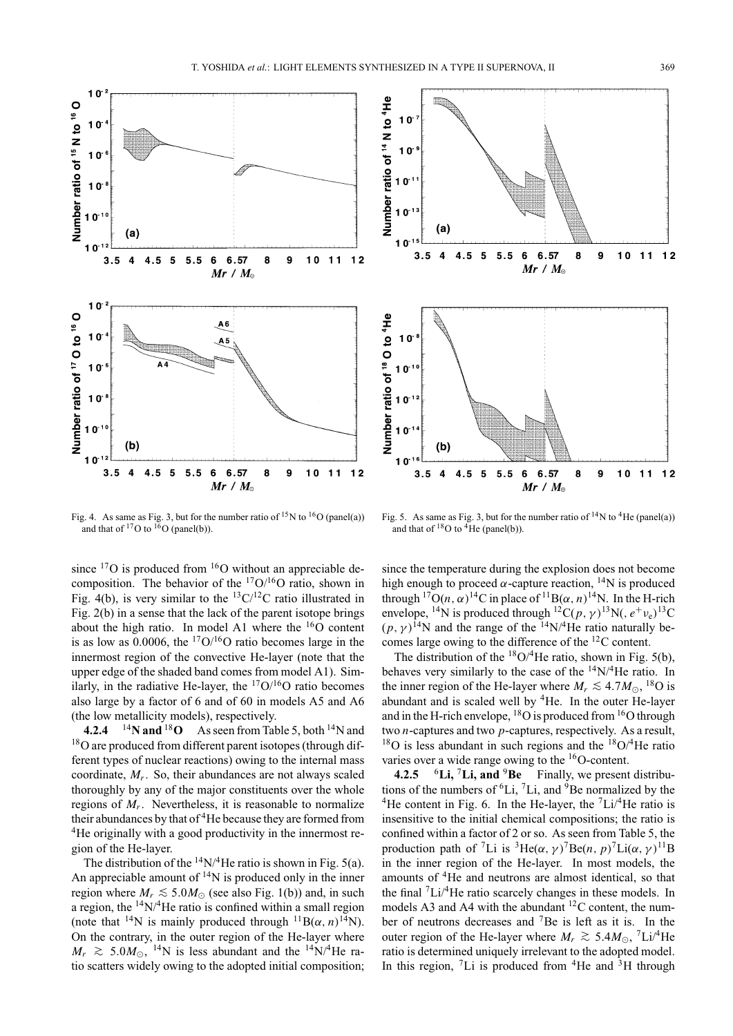



Fig. 4. As same as Fig. 3, but for the number ratio of  $^{15}N$  to  $^{16}O$  (panel(a)) and that of  ${}^{17}O$  to  ${}^{16}O$  (panel(b)).

since  $^{17}$ O is produced from  $^{16}$ O without an appreciable decomposition. The behavior of the  $17O/16O$  ratio, shown in Fig. 4(b), is very similar to the  ${}^{13}C/{}^{12}C$  ratio illustrated in Fig. 2(b) in a sense that the lack of the parent isotope brings about the high ratio. In model A1 where the  $^{16}$ O content is as low as 0.0006, the  $17O/16O$  ratio becomes large in the innermost region of the convective He-layer (note that the upper edge of the shaded band comes from model A1). Similarly, in the radiative He-layer, the  $17O/16O$  ratio becomes also large by a factor of 6 and of 60 in models A5 and A6 (the low metallicity models), respectively.

**4.2.4** <sup>14</sup>**N** and<sup>18</sup>**O** As seen from Table 5, both <sup>14</sup>N and <sup>18</sup>O are produced from different parent isotopes (through different types of nuclear reactions) owing to the internal mass coordinate, *Mr*. So, their abundances are not always scaled thoroughly by any of the major constituents over the whole regions of *Mr*. Nevertheless, it is reasonable to normalize their abundances by that of <sup>4</sup>He because they are formed from <sup>4</sup>He originally with a good productivity in the innermost region of the He-layer.

The distribution of the  $^{14}N/^{4}$ He ratio is shown in Fig. 5(a). An appreciable amount of  $^{14}N$  is produced only in the inner region where  $M_r \leq 5.0 M_{\odot}$  (see also Fig. 1(b)) and, in such a region, the  $14N/4$ He ratio is confined within a small region (note that <sup>14</sup>N is mainly produced through <sup>11</sup>B( $\alpha$ , *n*)<sup>14</sup>N). On the contrary, in the outer region of the He-layer where  $M_r \approx 5.0 M_{\odot}$ , <sup>14</sup>N is less abundant and the <sup>14</sup>N/<sup>4</sup>He ratio scatters widely owing to the adopted initial composition;

Fig. 5. As same as Fig. 3, but for the number ratio of  $^{14}N$  to  $^{4}$ He (panel(a)) and that of  ${}^{18}O$  to  ${}^{4}He$  (panel(b)).

since the temperature during the explosion does not become high enough to proceed  $\alpha$ -capture reaction, <sup>14</sup>N is produced through  ${}^{17}O(n, \alpha)$ <sup>14</sup>C in place of  ${}^{11}B(\alpha, n)$ <sup>14</sup>N. In the H-rich envelope, <sup>14</sup>N is produced through <sup>12</sup>C(*p*,  $\gamma$ )<sup>13</sup>N(,  $e^+v_e$ )<sup>13</sup>C  $(p, \gamma)^{14}$ N and the range of the <sup>14</sup>N/<sup>4</sup>He ratio naturally becomes large owing to the difference of the 12C content.

The distribution of the  ${}^{18}O/{}^{4}He$  ratio, shown in Fig. 5(b), behaves very similarly to the case of the 14N/4He ratio. In the inner region of the He-layer where  $M_r \lesssim 4.7 M_{\odot}$ , <sup>18</sup>O is abundant and is scaled well by <sup>4</sup>He. In the outer He-layer and in the H-rich envelope,  ${}^{18}O$  is produced from  ${}^{16}O$  through two *n*-captures and two *p*-captures, respectively. As a result,  $18$ O is less abundant in such regions and the  $18$ O/<sup>4</sup>He ratio varies over a wide range owing to the  $\rm ^{16}O$ -content.

**4.2.5** <sup>6</sup>**Li,** <sup>7</sup>**Li, and** <sup>9</sup>**Be** Finally, we present distributions of the numbers of  ${}^{6}$ Li,  ${}^{7}$ Li, and  ${}^{9}$ Be normalized by the <sup>4</sup>He content in Fig. 6. In the He-layer, the  $\frac{7 \text{Li}}{4 \text{He}}$  ratio is insensitive to the initial chemical compositions; the ratio is confined within a factor of 2 or so. As seen from Table 5, the production path of <sup>7</sup>Li is <sup>3</sup>He( $\alpha$ ,  $\gamma$ )<sup>7</sup>Be( $n$ ,  $p$ )<sup>7</sup>Li( $\alpha$ ,  $\gamma$ )<sup>11</sup>B in the inner region of the He-layer. In most models, the amounts of 4He and neutrons are almost identical, so that the final 7Li/4He ratio scarcely changes in these models. In models A3 and A4 with the abundant  ${}^{12}$ C content, the number of neutrons decreases and 7Be is left as it is. In the outer region of the He-layer where  $M_r \gtrsim 5.4 M_{\odot}$ , <sup>7</sup>Li/<sup>4</sup>He ratio is determined uniquely irrelevant to the adopted model. In this region,  ${}^{7}Li$  is produced from  ${}^{4}He$  and  ${}^{3}H$  through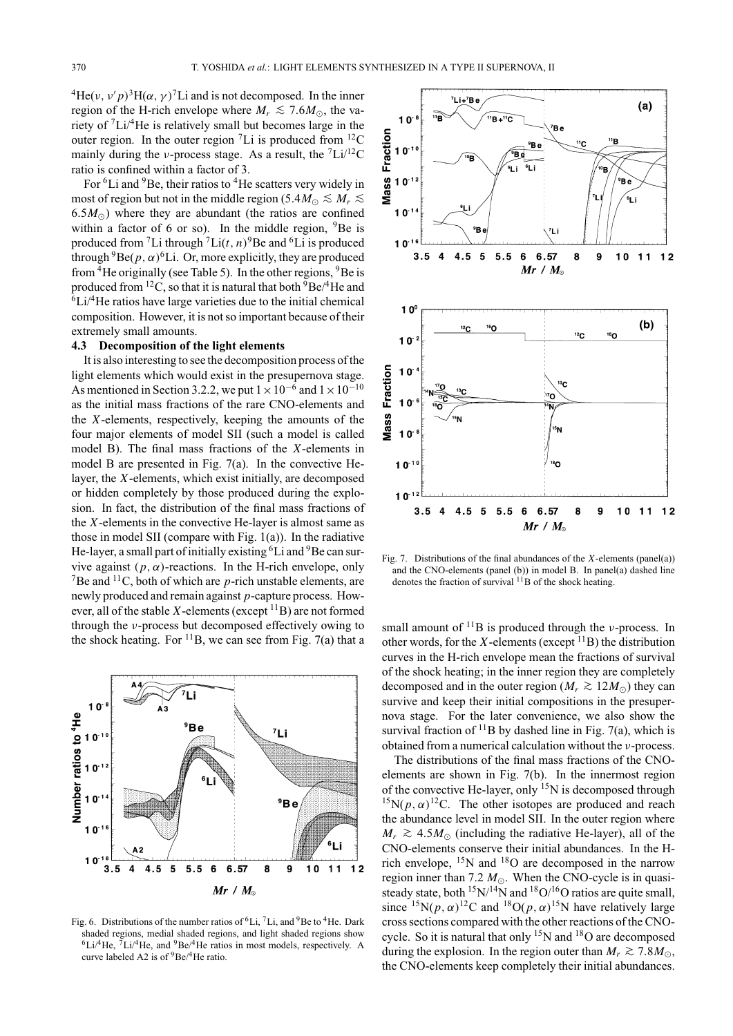<sup>4</sup>He(*v*,  $v'p$ )<sup>3</sup>H( $\alpha$ ,  $\gamma$ )<sup>7</sup>Li and is not decomposed. In the inner region of the H-rich envelope where  $M_r \lesssim 7.6 M_{\odot}$ , the variety of 7Li/4He is relatively small but becomes large in the outer region. In the outer region  ${}^{7}$ Li is produced from  ${}^{12}$ C mainly during the *ν*-process stage. As a result, the  ${}^{7}Li/{}^{12}C$ ratio is confined within a factor of 3.

For <sup>6</sup>Li and <sup>9</sup>Be, their ratios to <sup>4</sup>He scatters very widely in most of region but not in the middle region (5.4 $M_{\odot} \leq M_r \leq$  6.5 $M_{\odot}$ ) where they are abundant (the ratios are confined within a factor of 6 or so). In the middle region,  $9Be$  is produced from <sup>7</sup>Li through <sup>7</sup>Li( $t$ ,  $n$ )<sup>9</sup>Be and <sup>6</sup>Li is produced through  ${}^{9}$ Be( $p, \alpha$ )<sup>6</sup>Li. Or, more explicitly, they are produced from  ${}^{4}$ He originally (see Table 5). In the other regions,  ${}^{9}$ Be is produced from <sup>12</sup>C, so that it is natural that both  ${}^{9}Be/{}^{4}He$  and  ${}^{6}$ Li/ ${}^{4}$ He ratios have large varieties due to the initial chemical composition. However, it is not so important because of their extremely small amounts.

### **4.3 Decomposition of the light elements**

It is also interesting to see the decomposition process of the light elements which would exist in the presupernova stage. As mentioned in Section 3.2.2, we put  $1 \times 10^{-6}$  and  $1 \times 10^{-10}$ as the initial mass fractions of the rare CNO-elements and the *X*-elements, respectively, keeping the amounts of the four major elements of model SII (such a model is called model B). The final mass fractions of the *X*-elements in model B are presented in Fig. 7(a). In the convective Helayer, the *X*-elements, which exist initially, are decomposed or hidden completely by those produced during the explosion. In fact, the distribution of the final mass fractions of the *X*-elements in the convective He-layer is almost same as those in model SII (compare with Fig. 1(a)). In the radiative He-layer, a small part of initially existing  ${}^{6}$ Li and  ${}^{9}$ Be can survive against  $(p, \alpha)$ -reactions. In the H-rich envelope, only <sup>7</sup>Be and <sup>11</sup>C, both of which are *p*-rich unstable elements, are newly produced and remain against *p*-capture process. However, all of the stable  $X$ -elements (except  $^{11}B$ ) are not formed through the ν-process but decomposed effectively owing to the shock heating. For  $^{11}B$ , we can see from Fig. 7(a) that a



Fig. 6. Distributions of the number ratios of  ${}^{6}Li$ ,  ${}^{7}Li$ , and  ${}^{9}Be$  to  ${}^{4}He$ . Dark shaded regions, medial shaded regions, and light shaded regions show  $6Li^{4}He$ ,  $7Li^{4}He$ , and  $9Be^{4}He$  ratios in most models, respectively. A curve labeled A2 is of  ${}^{9}Be/{}^{4}He$  ratio.



Fig. 7. Distributions of the final abundances of the *X*-elements (panel(a)) and the CNO-elements (panel (b)) in model B. In panel(a) dashed line denotes the fraction of survival  $11\text{B}$  of the shock heating.

small amount of  $^{11}B$  is produced through the *v*-process. In other words, for the  $X$ -elements (except  $^{11}B$ ) the distribution curves in the H-rich envelope mean the fractions of survival of the shock heating; in the inner region they are completely decomposed and in the outer region ( $M_r$  ≥ 12 $M_{\odot}$ ) they can survive and keep their initial compositions in the presupernova stage. For the later convenience, we also show the survival fraction of  $^{11}$ B by dashed line in Fig. 7(a), which is obtained from a numerical calculation without the ν-process.

The distributions of the final mass fractions of the CNOelements are shown in Fig. 7(b). In the innermost region of the convective He-layer, only  $^{15}N$  is decomposed through <sup>15</sup>N( $p, \alpha$ )<sup>12</sup>C. The other isotopes are produced and reach the abundance level in model SII. In the outer region where *M<sub>r</sub>*  $\gtrsim$  4.5*M*<sub>⊙</sub> (including the radiative He-layer), all of the CNO-elements conserve their initial abundances. In the Hrich envelope,  $^{15}$ N and  $^{18}$ O are decomposed in the narrow region inner than 7.2  $M_{\odot}$ . When the CNO-cycle is in quasisteady state, both  $15N/14N$  and  $18O/16O$  ratios are quite small, since <sup>15</sup>N( $p, \alpha$ )<sup>12</sup>C and <sup>18</sup>O( $p, \alpha$ )<sup>15</sup>N have relatively large cross sections compared with the other reactions of the CNOcycle. So it is natural that only 15N and 18O are decomposed during the explosion. In the region outer than  $M_r \gtrsim 7.8 M_{\odot}$ , the CNO-elements keep completely their initial abundances.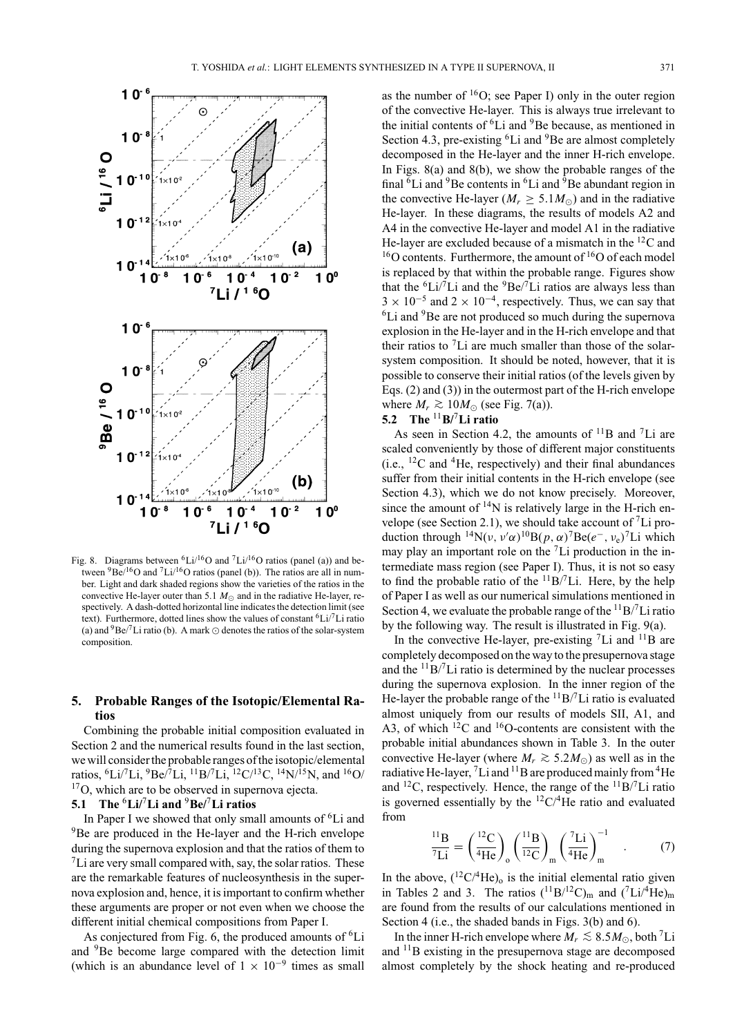

Fig. 8. Diagrams between  ${}^{6}Li/{}^{16}O$  and  ${}^{7}Li/{}^{16}O$  ratios (panel (a)) and between  ${}^{9}Be/{}^{16}O$  and  ${}^{7}Li/{}^{16}O$  ratios (panel (b)). The ratios are all in number. Light and dark shaded regions show the varieties of the ratios in the convective He-layer outer than 5.1  $M_{\odot}$  and in the radiative He-layer, respectively. A dash-dotted horizontal line indicates the detection limit (see text). Furthermore, dotted lines show the values of constant  ${}^{6}Li/{}^{7}Li$  ratio (a) and  ${}^{9}Be/{}^{7}Li$  ratio (b). A mark  $\odot$  denotes the ratios of the solar-system composition.

### **5. Probable Ranges of the Isotopic/Elemental Ratios**

Combining the probable initial composition evaluated in Section 2 and the numerical results found in the last section, we will consider the probable ranges of the isotopic/elemental ratios,  ${}^{6}Li/{}^{7}Li, {}^{9}Be/{}^{7}Li, {}^{11}B/{}^{7}Li, {}^{12}C/{}^{13}C, {}^{14}N/{}^{15}N,$  and  ${}^{16}O/{}$ <sup>17</sup>O, which are to be observed in supernova ejecta.

#### **5.1 The** <sup>6</sup>**Li/**<sup>7</sup>**Li and** <sup>9</sup>**Be/**<sup>7</sup>**Li ratios**

In Paper I we showed that only small amounts of <sup>6</sup>Li and <sup>9</sup>Be are produced in the He-layer and the H-rich envelope during the supernova explosion and that the ratios of them to  ${}^{7}$ Li are very small compared with, say, the solar ratios. These are the remarkable features of nucleosynthesis in the supernova explosion and, hence, it is important to confirm whether these arguments are proper or not even when we choose the different initial chemical compositions from Paper I.

As conjectured from Fig. 6, the produced amounts of <sup>6</sup>Li and 9Be become large compared with the detection limit (which is an abundance level of  $1 \times 10^{-9}$  times as small

as the number of 16O; see Paper I) only in the outer region of the convective He-layer. This is always true irrelevant to the initial contents of <sup>6</sup>Li and <sup>9</sup>Be because, as mentioned in Section 4.3, pre-existing <sup>6</sup>Li and <sup>9</sup>Be are almost completely decomposed in the He-layer and the inner H-rich envelope. In Figs. 8(a) and 8(b), we show the probable ranges of the final  ${}^{6}$ Li and  ${}^{9}$ Be contents in  ${}^{6}$ Li and  ${}^{9}$ Be abundant region in the convective He-layer ( $M_r \geq 5.1 M_{\odot}$ ) and in the radiative He-layer. In these diagrams, the results of models A2 and A4 in the convective He-layer and model A1 in the radiative He-layer are excluded because of a mismatch in the 12C and  $16$ O contents. Furthermore, the amount of  $16$ O of each model is replaced by that within the probable range. Figures show that the  ${}^{6}Li/{}^{7}Li$  and the  ${}^{9}Be/{}^{7}Li$  ratios are always less than  $3 \times 10^{-5}$  and  $2 \times 10^{-4}$ , respectively. Thus, we can say that  ${}^{6}$ Li and  ${}^{9}$ Be are not produced so much during the supernova explosion in the He-layer and in the H-rich envelope and that their ratios to  ${}^{7}$ Li are much smaller than those of the solarsystem composition. It should be noted, however, that it is possible to conserve their initial ratios (of the levels given by Eqs. (2) and (3)) in the outermost part of the H-rich envelope where  $M_r$   $\gtrsim$  10 $M_{\odot}$  (see Fig. 7(a)).

# **5.2 The** <sup>11</sup>**B/**<sup>7</sup>**Li ratio**

As seen in Section 4.2, the amounts of  $^{11}B$  and  $^{7}Li$  are scaled conveniently by those of different major constituents (i.e.,  ${}^{12}C$  and  ${}^{4}He$ , respectively) and their final abundances suffer from their initial contents in the H-rich envelope (see Section 4.3), which we do not know precisely. Moreover, since the amount of  $14N$  is relatively large in the H-rich envelope (see Section 2.1), we should take account of 7Li production through <sup>14</sup>N( $\nu$ ,  $\nu' \alpha$ )<sup>10</sup>B( $p$ ,  $\alpha$ )<sup>7</sup>Be( $e^-$ ,  $\nu_e$ )<sup>7</sup>Li which may play an important role on the  ${}^{7}$ Li production in the intermediate mass region (see Paper I). Thus, it is not so easy to find the probable ratio of the  $11B/T$ Li. Here, by the help of Paper I as well as our numerical simulations mentioned in Section 4, we evaluate the probable range of the  $\rm ^{11}B/^{7}Li$  ratio by the following way. The result is illustrated in Fig. 9(a).

In the convective He-layer, pre-existing  ${}^{7}$ Li and  ${}^{11}$ B are completely decomposed on the way to the presupernova stage and the  $\rm ^{11}B/^{7}Li$  ratio is determined by the nuclear processes during the supernova explosion. In the inner region of the He-layer the probable range of the  ${}^{11}B/{}^{7}Li$  ratio is evaluated almost uniquely from our results of models SII, A1, and A3, of which  $^{12}$ C and  $^{16}$ O-contents are consistent with the probable initial abundances shown in Table 3. In the outer convective He-layer (where  $M_r \gtrsim 5.2 M_{\odot}$ ) as well as in the radiative He-layer,  $^7$ Li and  $^{11}$ B are produced mainly from  $^4$ He and <sup>12</sup>C, respectively. Hence, the range of the  $^{11}B/^{7}Li$  ratio is governed essentially by the  ${}^{12}$ C/<sup>4</sup>He ratio and evaluated from

$$
\frac{^{11}\text{B}}{^{7}\text{Li}} = \left(\frac{^{12}\text{C}}{^{4}\text{He}}\right)_{\text{o}} \left(\frac{^{11}\text{B}}{^{12}\text{C}}\right)_{\text{m}} \left(\frac{^{7}\text{Li}}{^{4}\text{He}}\right)_{\text{m}}^{-1} \quad . \tag{7}
$$

In the above,  $(^{12}C/4He)_{0}$  is the initial elemental ratio given in Tables 2 and 3. The ratios  $({}^{11}B/{}^{12}C)_{m}$  and  $({}^{7}Li/{}^{4}He)_{m}$ are found from the results of our calculations mentioned in Section 4 (i.e., the shaded bands in Figs. 3(b) and 6).

In the inner H-rich envelope where  $M_r \le 8.5 M_{\odot}$ , both <sup>7</sup>Li and 11B existing in the presupernova stage are decomposed almost completely by the shock heating and re-produced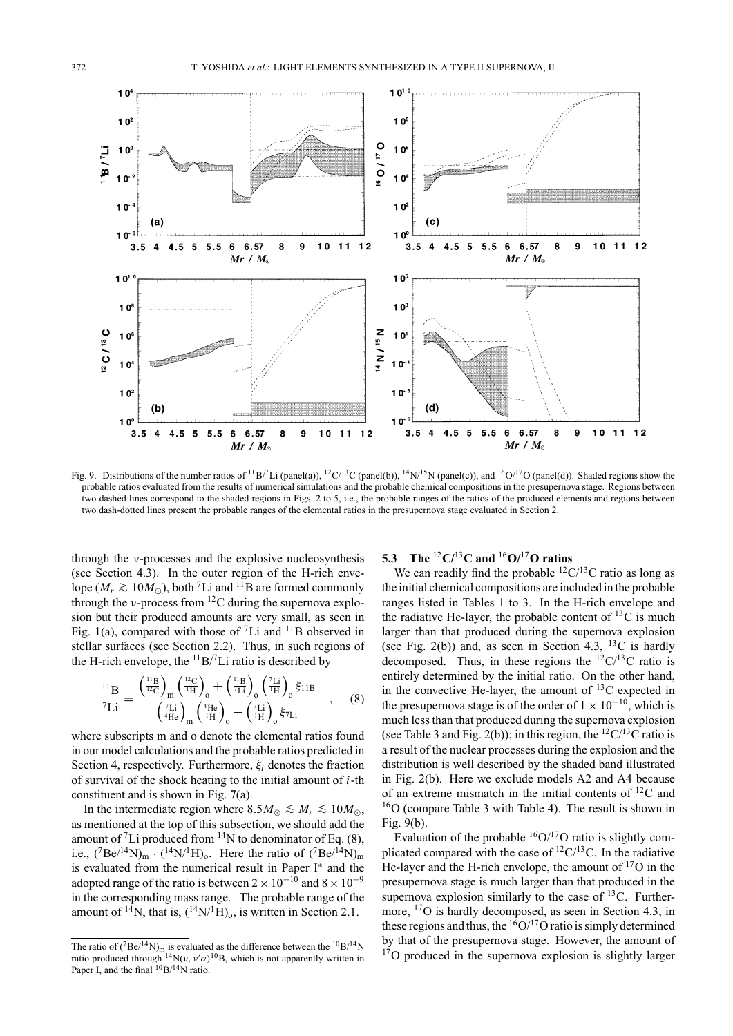

Fig. 9. Distributions of the number ratios of  ${}^{11}B/{}^{7}Li$  (panel(a)),  ${}^{12}C/{}^{13}C$  (panel(b)),  ${}^{14}N/{}^{15}N$  (panel(c)), and  ${}^{16}O/{}^{17}O$  (panel(d)). Shaded regions show the probable ratios evaluated from the results of numerical simulations and the probable chemical compositions in the presupernova stage. Regions between two dashed lines correspond to the shaded regions in Figs. 2 to 5, i.e., the probable ranges of the ratios of the produced elements and regions between two dash-dotted lines present the probable ranges of the elemental ratios in the presupernova stage evaluated in Section 2.

through the ν-processes and the explosive nucleosynthesis (see Section 4.3). In the outer region of the H-rich envelope ( $M_r \gtrsim 10 M_{\odot}$ ), both <sup>7</sup>Li and <sup>11</sup>B are formed commonly through the *v*-process from <sup>12</sup>C during the supernova explosion but their produced amounts are very small, as seen in Fig. 1(a), compared with those of  ${}^{7}Li$  and  ${}^{11}B$  observed in stellar surfaces (see Section 2.2). Thus, in such regions of the H-rich envelope, the  $^{11}B/7Li$  ratio is described by

$$
\frac{^{11}\text{B}}{^{7}\text{Li}} = \frac{\left(\frac{^{11}\text{B}}{^{12}\text{C}}\right)_{\text{m}} \left(\frac{^{12}\text{C}}{^{1}\text{H}}\right)_{\text{o}} + \left(\frac{^{11}\text{B}}{^{7}\text{Li}}\right)_{\text{o}} \left(\frac{^{7}\text{Li}}{^{1}\text{H}}\right)_{\text{o}} \xi_{11B}}{\left(\frac{^{7}\text{Li}}{^{1}\text{He}}\right)_{\text{m}} \left(\frac{^{4}\text{He}}{^{1}\text{H}}\right)_{\text{o}} + \left(\frac{^{7}\text{Li}}{^{1}\text{H}}\right)_{\text{o}} \xi_{7\text{Li}}}, \quad (8)
$$

where subscripts m and o denote the elemental ratios found in our model calculations and the probable ratios predicted in Section 4, respectively. Furthermore, ξ*<sup>i</sup>* denotes the fraction of survival of the shock heating to the initial amount of *i*-th constituent and is shown in Fig. 7(a).

In the intermediate region where  $8.5M_{\odot} \leq M_r \leq 10M_{\odot}$ , as mentioned at the top of this subsection, we should add the amount of <sup>7</sup>Li produced from <sup>14</sup>N to denominator of Eq. (8), i.e.,  $({}^{7}Be/{}^{14}N)_{m} \cdot ({}^{14}N/{}^{1}H)_{o}$ . Here the ratio of  $({}^{7}Be/{}^{14}N)_{m}$ is evaluated from the numerical result in Paper I<sup>∗</sup> and the adopted range of the ratio is between  $2 \times 10^{-10}$  and  $8 \times 10^{-9}$ in the corresponding mass range. The probable range of the amount of <sup>14</sup>N, that is,  $({}^{14}N/{}^{1}H)_{0}$ , is written in Section 2.1.

# **5.3 The** <sup>12</sup>**C/**<sup>13</sup>**C and** <sup>16</sup>**O/**<sup>17</sup>**O ratios**

We can readily find the probable  ${}^{12}C/{}^{13}C$  ratio as long as the initial chemical compositions are included in the probable ranges listed in Tables 1 to 3. In the H-rich envelope and the radiative He-layer, the probable content of  ${}^{13}C$  is much larger than that produced during the supernova explosion (see Fig. 2(b)) and, as seen in Section 4.3,  $^{13}$ C is hardly decomposed. Thus, in these regions the  ${}^{12}C/{}^{13}C$  ratio is entirely determined by the initial ratio. On the other hand, in the convective He-layer, the amount of  $^{13}$ C expected in the presupernova stage is of the order of  $1 \times 10^{-10}$ , which is much less than that produced during the supernova explosion (see Table 3 and Fig. 2(b)); in this region, the  ${}^{12}C/{}^{13}C$  ratio is a result of the nuclear processes during the explosion and the distribution is well described by the shaded band illustrated in Fig. 2(b). Here we exclude models A2 and A4 because of an extreme mismatch in the initial contents of  ${}^{12}C$  and 16O (compare Table 3 with Table 4). The result is shown in Fig. 9(b).

Evaluation of the probable  ${}^{16}O/{}^{17}O$  ratio is slightly complicated compared with the case of  ${}^{12}C/{}^{13}C$ . In the radiative He-layer and the H-rich envelope, the amount of  $^{17}O$  in the presupernova stage is much larger than that produced in the supernova explosion similarly to the case of  $^{13}$ C. Furthermore, 17O is hardly decomposed, as seen in Section 4.3, in these regions and thus, the  $16O/17O$  ratio is simply determined by that of the presupernova stage. However, the amount of <sup>17</sup>O produced in the supernova explosion is slightly larger

The ratio of  $(^{7}Be^{14}N)_{m}$  is evaluated as the difference between the  $^{10}B^{14}N$ ratio produced through  ${}^{14}N(v, v'\alpha) {}^{10}B$ , which is not apparently written in Paper I, and the final  $10B/14$ N ratio.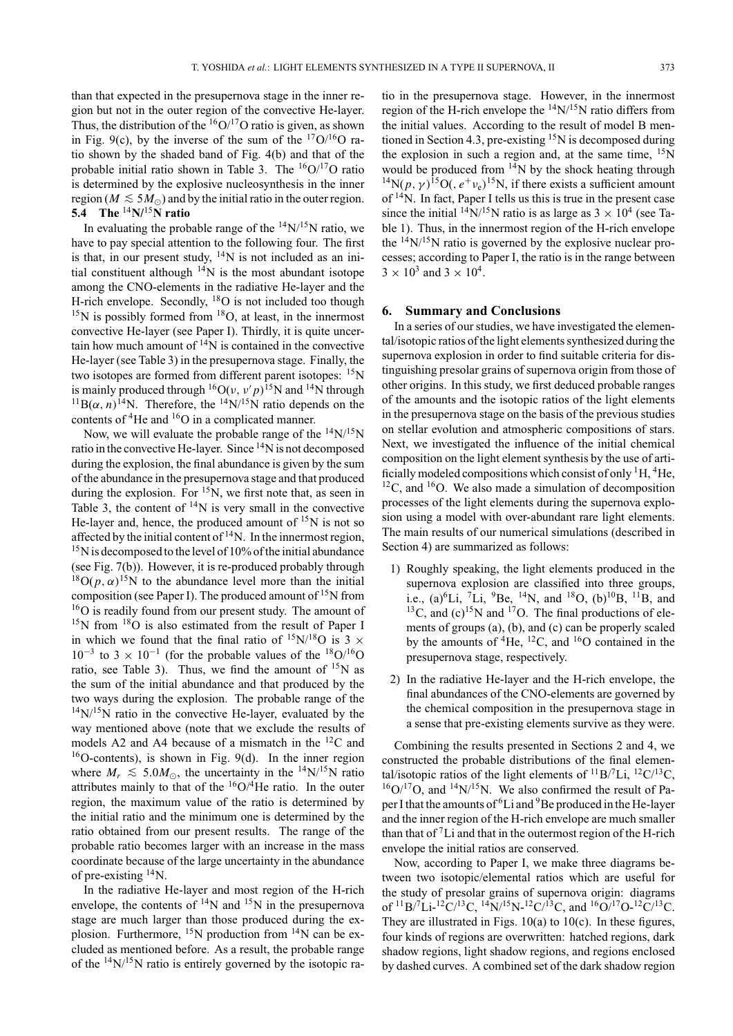than that expected in the presupernova stage in the inner region but not in the outer region of the convective He-layer. Thus, the distribution of the  $16O/17O$  ratio is given, as shown in Fig. 9(c), by the inverse of the sum of the  $17O/16O$  ratio shown by the shaded band of Fig. 4(b) and that of the probable initial ratio shown in Table 3. The  ${}^{16}O/{}^{17}O$  ratio is determined by the explosive nucleosynthesis in the inner region ( $M \lesssim 5M_{\odot}$ ) and by the initial ratio in the outer region. **5.4 The** <sup>14</sup>**N/**<sup>15</sup>**N ratio**

In evaluating the probable range of the  $^{14}N/^{15}N$  ratio, we have to pay special attention to the following four. The first is that, in our present study,  $14N$  is not included as an initial constituent although  $14N$  is the most abundant isotope among the CNO-elements in the radiative He-layer and the H-rich envelope. Secondly, <sup>18</sup>O is not included too though  $15$ N is possibly formed from  $18$ O, at least, in the innermost convective He-layer (see Paper I). Thirdly, it is quite uncertain how much amount of  $14N$  is contained in the convective He-layer (see Table 3) in the presupernova stage. Finally, the two isotopes are formed from different parent isotopes: <sup>15</sup>N is mainly produced through  ${}^{16}O(\nu, \nu'p)^{15}N$  and  ${}^{14}N$  through <sup>11</sup>B( $\alpha$ , *n*)<sup>14</sup>N. Therefore, the <sup>14</sup>N/<sup>15</sup>N ratio depends on the contents of <sup>4</sup>He and <sup>16</sup>O in a complicated manner.

Now, we will evaluate the probable range of the  $^{14}$ N/ $^{15}$ N ratio in the convective He-layer. Since  $\rm ^{14}N$  is not decomposed during the explosion, the final abundance is given by the sum of the abundance in the presupernova stage and that produced during the explosion. For  ${}^{15}N$ , we first note that, as seen in Table 3, the content of  $14N$  is very small in the convective He-layer and, hence, the produced amount of <sup>15</sup>N is not so affected by the initial content of  $14$ N. In the innermost region, <sup>15</sup>N is decomposed to the level of 10% of the initial abundance (see Fig. 7(b)). However, it is re-produced probably through <sup>18</sup>O( $p, \alpha$ )<sup>15</sup>N to the abundance level more than the initial composition (see Paper I). The produced amount of  $15N$  from <sup>16</sup>O is readily found from our present study. The amount of  $15$ N from  $18$ O is also estimated from the result of Paper I in which we found that the final ratio of  $15N/18O$  is 3  $\times$  $10^{-3}$  to  $3 \times 10^{-1}$  (for the probable values of the <sup>18</sup>O/<sup>16</sup>O ratio, see Table 3). Thus, we find the amount of  $15N$  as the sum of the initial abundance and that produced by the two ways during the explosion. The probable range of the  $14$ N/ $15$ N ratio in the convective He-layer, evaluated by the way mentioned above (note that we exclude the results of models A2 and A4 because of a mismatch in the 12C and  $16$ O-contents), is shown in Fig. 9(d). In the inner region where  $M_r \leq 5.0 M_{\odot}$ , the uncertainty in the <sup>14</sup>N/<sup>15</sup>N ratio attributes mainly to that of the  $16O/4$ He ratio. In the outer region, the maximum value of the ratio is determined by the initial ratio and the minimum one is determined by the ratio obtained from our present results. The range of the probable ratio becomes larger with an increase in the mass coordinate because of the large uncertainty in the abundance of pre-existing  $^{14}$ N.

In the radiative He-layer and most region of the H-rich envelope, the contents of  $^{14}N$  and  $^{15}N$  in the presupernova stage are much larger than those produced during the explosion. Furthermore,  ${}^{15}N$  production from  ${}^{14}N$  can be excluded as mentioned before. As a result, the probable range of the  $14N/15N$  ratio is entirely governed by the isotopic ratio in the presupernova stage. However, in the innermost region of the H-rich envelope the 14N/15N ratio differs from the initial values. According to the result of model B mentioned in Section 4.3, pre-existing  $15N$  is decomposed during the explosion in such a region and, at the same time,  $15N$ would be produced from  $14$ N by the shock heating through <sup>14</sup>N( $p, \gamma$ )<sup>15</sup>O(,  $e^{+}v_e$ )<sup>15</sup>N, if there exists a sufficient amount of 14N. In fact, Paper I tells us this is true in the present case since the initial <sup>14</sup>N/<sup>15</sup>N ratio is as large as  $3 \times 10^4$  (see Table 1). Thus, in the innermost region of the H-rich envelope the  $14N/15N$  ratio is governed by the explosive nuclear processes; according to Paper I, the ratio is in the range between  $3 \times 10^3$  and  $3 \times 10^4$ .

### **6. Summary and Conclusions**

In a series of our studies, we have investigated the elemental/isotopic ratios of the light elements synthesized during the supernova explosion in order to find suitable criteria for distinguishing presolar grains of supernova origin from those of other origins. In this study, we first deduced probable ranges of the amounts and the isotopic ratios of the light elements in the presupernova stage on the basis of the previous studies on stellar evolution and atmospheric compositions of stars. Next, we investigated the influence of the initial chemical composition on the light element synthesis by the use of artificially modeled compositions which consist of only  ${}^{1}H$ ,  ${}^{4}He$ ,  $12^1$ C, and  $1^6$ O. We also made a simulation of decomposition processes of the light elements during the supernova explosion using a model with over-abundant rare light elements. The main results of our numerical simulations (described in Section 4) are summarized as follows:

- 1) Roughly speaking, the light elements produced in the supernova explosion are classified into three groups, i.e.,  $(a)^6Li$ , <sup>7</sup>Li, <sup>9</sup>Be, <sup>14</sup>N, and <sup>18</sup>O,  $(b)^{10}B$ , <sup>11</sup>B, and  $^{13}$ C, and (c)<sup>15</sup>N and <sup>17</sup>O. The final productions of elements of groups (a), (b), and (c) can be properly scaled by the amounts of  ${}^{4}$ He,  ${}^{12}$ C, and  ${}^{16}$ O contained in the presupernova stage, respectively.
- 2) In the radiative He-layer and the H-rich envelope, the final abundances of the CNO-elements are governed by the chemical composition in the presupernova stage in a sense that pre-existing elements survive as they were.

Combining the results presented in Sections 2 and 4, we constructed the probable distributions of the final elemental/isotopic ratios of the light elements of  ${}^{11}B/{}^{7}Li$ ,  ${}^{12}C/{}^{13}C$ ,  $16O/17O$ , and  $14N/15N$ . We also confirmed the result of Paper I that the amounts of 6Li and 9Be produced in the He-layer and the inner region of the H-rich envelope are much smaller than that of  ${}^{7}$ Li and that in the outermost region of the H-rich envelope the initial ratios are conserved.

Now, according to Paper I, we make three diagrams between two isotopic/elemental ratios which are useful for the study of presolar grains of supernova origin: diagrams of  $^{11}B/7Li^{-12}C/^{13}C$ ,  $^{14}N/^{15}N^{-12}C/^{13}C$ , and  $^{16}O/^{17}O^{-12}C/^{13}C$ . They are illustrated in Figs.  $10(a)$  to  $10(c)$ . In these figures, four kinds of regions are overwritten: hatched regions, dark shadow regions, light shadow regions, and regions enclosed by dashed curves. A combined set of the dark shadow region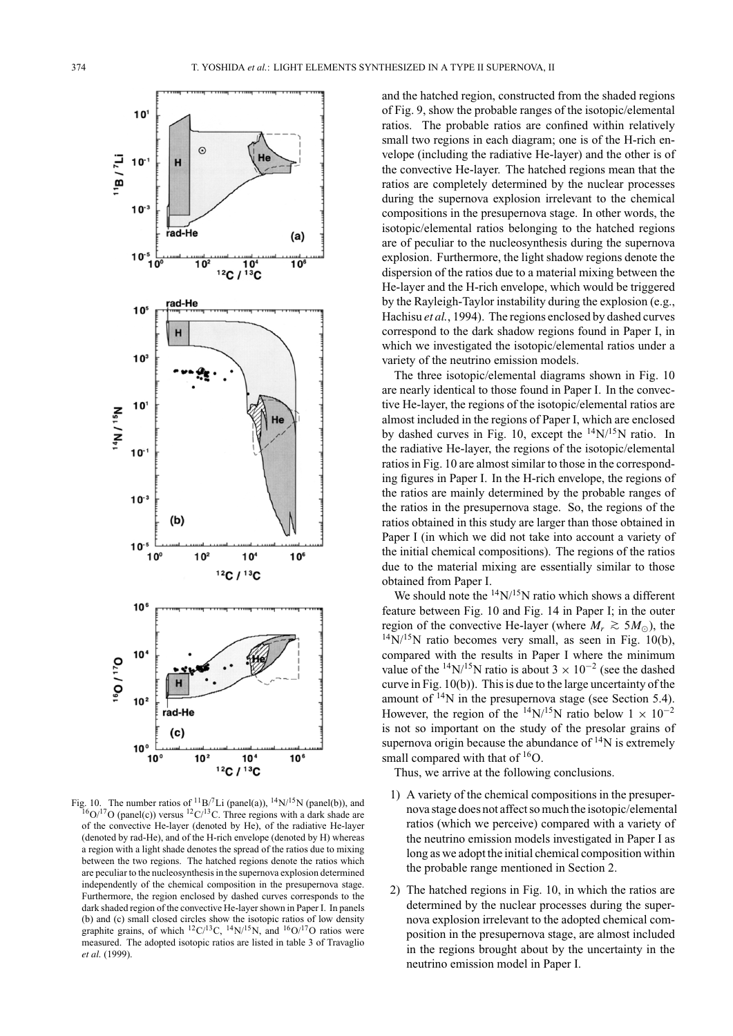

Fig. 10. The number ratios of  ${}^{11}B/{}^{7}Li$  (panel(a)),  ${}^{14}N/{}^{15}N$  (panel(b)), and  $16O/17O$  (panel(c)) versus  $12C/13C$ . Three regions with a dark shade are of the convective He-layer (denoted by He), of the radiative He-layer (denoted by rad-He), and of the H-rich envelope (denoted by H) whereas a region with a light shade denotes the spread of the ratios due to mixing between the two regions. The hatched regions denote the ratios which are peculiar to the nucleosynthesis in the supernova explosion determined independently of the chemical composition in the presupernova stage. Furthermore, the region enclosed by dashed curves corresponds to the dark shaded region of the convective He-layer shown in Paper I. In panels (b) and (c) small closed circles show the isotopic ratios of low density graphite grains, of which  ${}^{12}C/{}^{13}C$ ,  ${}^{14}N/{}^{15}N$ , and  ${}^{16}O/{}^{17}O$  ratios were measured. The adopted isotopic ratios are listed in table 3 of Travaglio *et al.* (1999).

and the hatched region, constructed from the shaded regions of Fig. 9, show the probable ranges of the isotopic/elemental ratios. The probable ratios are confined within relatively small two regions in each diagram; one is of the H-rich envelope (including the radiative He-layer) and the other is of the convective He-layer. The hatched regions mean that the ratios are completely determined by the nuclear processes during the supernova explosion irrelevant to the chemical compositions in the presupernova stage. In other words, the isotopic/elemental ratios belonging to the hatched regions are of peculiar to the nucleosynthesis during the supernova explosion. Furthermore, the light shadow regions denote the dispersion of the ratios due to a material mixing between the He-layer and the H-rich envelope, which would be triggered by the Rayleigh-Taylor instability during the explosion (e.g., Hachisu *et al.*, 1994). The regions enclosed by dashed curves correspond to the dark shadow regions found in Paper I, in which we investigated the isotopic/elemental ratios under a variety of the neutrino emission models.

The three isotopic/elemental diagrams shown in Fig. 10 are nearly identical to those found in Paper I. In the convective He-layer, the regions of the isotopic/elemental ratios are almost included in the regions of Paper I, which are enclosed by dashed curves in Fig. 10, except the  $^{14}N/^{15}N$  ratio. In the radiative He-layer, the regions of the isotopic/elemental ratios in Fig. 10 are almost similar to those in the corresponding figures in Paper I. In the H-rich envelope, the regions of the ratios are mainly determined by the probable ranges of the ratios in the presupernova stage. So, the regions of the ratios obtained in this study are larger than those obtained in Paper I (in which we did not take into account a variety of the initial chemical compositions). The regions of the ratios due to the material mixing are essentially similar to those obtained from Paper I.

We should note the  $^{14}N/^{15}N$  ratio which shows a different feature between Fig. 10 and Fig. 14 in Paper I; in the outer region of the convective He-layer (where  $M_r \approx 5 M_{\odot}$ ), the  $14$ N/<sup>15</sup>N ratio becomes very small, as seen in Fig. 10(b), compared with the results in Paper I where the minimum value of the <sup>14</sup>N/<sup>15</sup>N ratio is about  $3 \times 10^{-2}$  (see the dashed curve in Fig. 10(b)). This is due to the large uncertainty of the amount of  $14N$  in the presupernova stage (see Section 5.4). However, the region of the <sup>14</sup>N/<sup>15</sup>N ratio below  $1 \times 10^{-2}$ is not so important on the study of the presolar grains of supernova origin because the abundance of  $^{14}N$  is extremely small compared with that of  ${}^{16}O$ .

Thus, we arrive at the following conclusions.

- 1) A variety of the chemical compositions in the presupernova stage does not affect so much the isotopic/elemental ratios (which we perceive) compared with a variety of the neutrino emission models investigated in Paper I as long as we adopt the initial chemical composition within the probable range mentioned in Section 2.
- 2) The hatched regions in Fig. 10, in which the ratios are determined by the nuclear processes during the supernova explosion irrelevant to the adopted chemical composition in the presupernova stage, are almost included in the regions brought about by the uncertainty in the neutrino emission model in Paper I.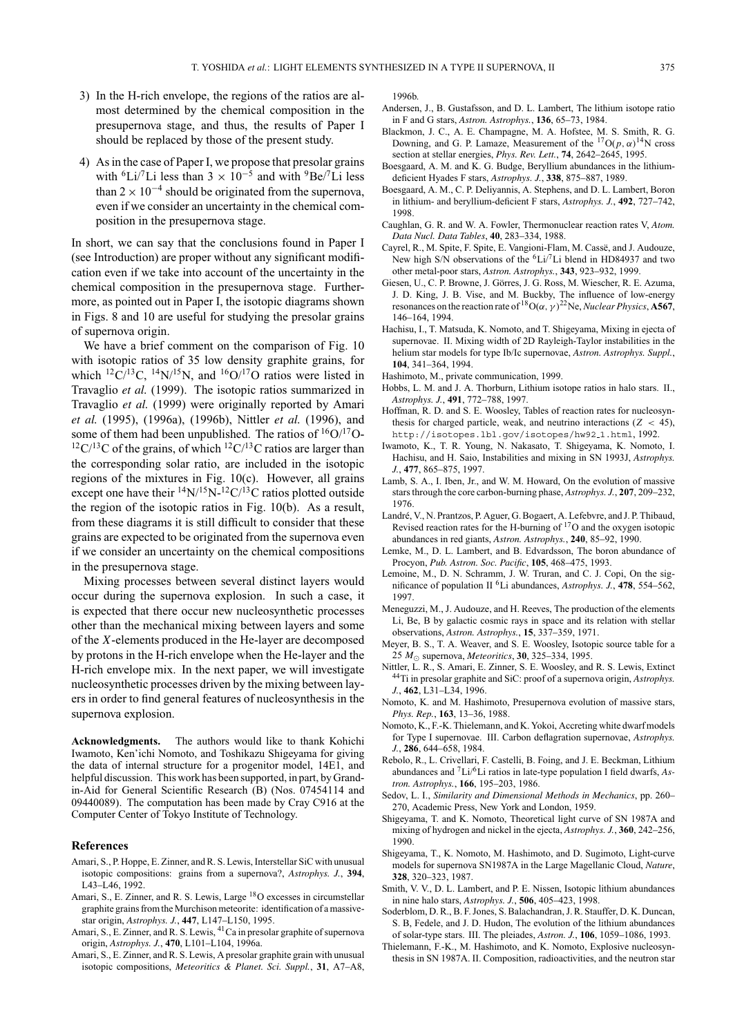- 3) In the H-rich envelope, the regions of the ratios are almost determined by the chemical composition in the presupernova stage, and thus, the results of Paper I should be replaced by those of the present study.
- 4) As in the case of Paper I, we propose that presolar grains with <sup>6</sup>Li/<sup>7</sup>Li less than 3 × 10<sup>-5</sup> and with <sup>9</sup>Be/<sup>7</sup>Li less than  $2 \times 10^{-4}$  should be originated from the supernova, even if we consider an uncertainty in the chemical composition in the presupernova stage.

In short, we can say that the conclusions found in Paper I (see Introduction) are proper without any significant modification even if we take into account of the uncertainty in the chemical composition in the presupernova stage. Furthermore, as pointed out in Paper I, the isotopic diagrams shown in Figs. 8 and 10 are useful for studying the presolar grains of supernova origin.

We have a brief comment on the comparison of Fig. 10 with isotopic ratios of 35 low density graphite grains, for which <sup>12</sup>C/<sup>13</sup>C, <sup>14</sup>N/<sup>15</sup>N, and <sup>16</sup>O/<sup>17</sup>O ratios were listed in Travaglio *et al.* (1999). The isotopic ratios summarized in Travaglio *et al.* (1999) were originally reported by Amari *et al.* (1995), (1996a), (1996b), Nittler *et al.* (1996), and some of them had been unpublished. The ratios of  ${}^{16}O/{}^{17}O$ - $12^1C^{13}C$  of the grains, of which  $12^1C^{13}C$  ratios are larger than the corresponding solar ratio, are included in the isotopic regions of the mixtures in Fig. 10(c). However, all grains except one have their  $^{14}N/^{15}N^{-12}C/^{13}C$  ratios plotted outside the region of the isotopic ratios in Fig. 10(b). As a result, from these diagrams it is still difficult to consider that these grains are expected to be originated from the supernova even if we consider an uncertainty on the chemical compositions in the presupernova stage.

Mixing processes between several distinct layers would occur during the supernova explosion. In such a case, it is expected that there occur new nucleosynthetic processes other than the mechanical mixing between layers and some of the *X*-elements produced in the He-layer are decomposed by protons in the H-rich envelope when the He-layer and the H-rich envelope mix. In the next paper, we will investigate nucleosynthetic processes driven by the mixing between layers in order to find general features of nucleosynthesis in the supernova explosion.

**Acknowledgments.** The authors would like to thank Kohichi Iwamoto, Ken'ichi Nomoto, and Toshikazu Shigeyama for giving the data of internal structure for a progenitor model, 14E1, and helpful discussion. This work has been supported, in part, by Grandin-Aid for General Scientific Research (B) (Nos. 07454114 and 09440089). The computation has been made by Cray C916 at the Computer Center of Tokyo Institute of Technology.

#### **References**

- Amari, S., P. Hoppe, E. Zinner, and R. S. Lewis, Interstellar SiC with unusual isotopic compositions: grains from a supernova?, *Astrophys. J.*, **394**, L43–L46, 1992.
- Amari, S., E. Zinner, and R. S. Lewis, Large <sup>18</sup>O excesses in circumstellar graphite grains from theMurchison meteorite: identification of a massivestar origin, *Astrophys. J.*, **447**, L147–L150, 1995.
- Amari, S., E. Zinner, and R. S. Lewis, <sup>41</sup>Ca in presolar graphite of supernova origin, *Astrophys. J.*, **470**, L101–L104, 1996a.
- Amari, S., E. Zinner, and R. S. Lewis, A presolar graphite grain with unusual isotopic compositions, *Meteoritics & Planet. Sci. Suppl.*, **31**, A7–A8,

1996b.

- Andersen, J., B. Gustafsson, and D. L. Lambert, The lithium isotope ratio in F and G stars, *Astron. Astrophys.*, **136**, 65–73, 1984.
- Blackmon, J. C., A. E. Champagne, M. A. Hofstee, M. S. Smith, R. G. Downing, and G. P. Lamaze, Measurement of the  ${}^{17}O(p, \alpha){}^{14}N$  cross section at stellar energies, *Phys. Rev. Lett.*, **74**, 2642–2645, 1995.
- Boesgaard, A. M. and K. G. Budge, Beryllium abundances in the lithiumdeficient Hyades F stars, *Astrophys. J.*, **338**, 875–887, 1989.
- Boesgaard, A. M., C. P. Deliyannis, A. Stephens, and D. L. Lambert, Boron in lithium- and beryllium-deficient F stars, *Astrophys. J.*, **492**, 727–742, 1998.
- Caughlan, G. R. and W. A. Fowler, Thermonuclear reaction rates V, *Atom. Data Nucl. Data Tables*, **40**, 283–334, 1988.
- Cayrel, R., M. Spite, F. Spite, E. Vangioni-Flam, M. Cassë, and J. Audouze, New high S/N observations of the <sup>6</sup>Li/<sup>7</sup>Li blend in HD84937 and two other metal-poor stars, *Astron. Astrophys.*, **343**, 923–932, 1999.
- Giesen, U., C. P. Browne, J. Görres, J. G. Ross, M. Wiescher, R. E. Azuma, J. D. King, J. B. Vise, and M. Buckby, The influence of low-energy resonances on the reaction rate of  ${}^{18}O(\alpha, \gamma)^{22}$ Ne, *Nuclear Physics*, **A567**, 146–164, 1994.
- Hachisu, I., T. Matsuda, K. Nomoto, and T. Shigeyama, Mixing in ejecta of supernovae. II. Mixing width of 2D Rayleigh-Taylor instabilities in the helium star models for type Ib/Ic supernovae, *Astron. Astrophys. Suppl.*, **104**, 341–364, 1994.
- Hashimoto, M., private communication, 1999.
- Hobbs, L. M. and J. A. Thorburn, Lithium isotope ratios in halo stars. II., *Astrophys. J.*, **491**, 772–788, 1997.
- Hoffman, R. D. and S. E. Woosley, Tables of reaction rates for nucleosynthesis for charged particle, weak, and neutrino interactions (*Z* < 45), http://isotopes.lbl.gov/isotopes/hw92 1.html, 1992.
- Iwamoto, K., T. R. Young, N. Nakasato, T. Shigeyama, K. Nomoto, I. Hachisu, and H. Saio, Instabilities and mixing in SN 1993J, *Astrophys. J.*, **477**, 865–875, 1997.
- Lamb, S. A., I. Iben, Jr., and W. M. Howard, On the evolution of massive stars through the core carbon-burning phase, *Astrophys. J.*, **207**, 209–232, 1976.
- Landré, V., N. Prantzos, P. Aguer, G. Bogaert, A. Lefebvre, and J. P. Thibaud, Revised reaction rates for the H-burning of  $17<sub>O</sub>$  and the oxygen isotopic abundances in red giants, *Astron. Astrophys.*, **240**, 85–92, 1990.
- Lemke, M., D. L. Lambert, and B. Edvardsson, The boron abundance of Procyon, *Pub. Astron. Soc. Pacific*, **105**, 468–475, 1993.
- Lemoine, M., D. N. Schramm, J. W. Truran, and C. J. Copi, On the significance of population II 6Li abundances, *Astrophys. J.*, **478**, 554–562, 1997.
- Meneguzzi, M., J. Audouze, and H. Reeves, The production of the elements Li, Be, B by galactic cosmic rays in space and its relation with stellar observations, *Astron. Astrophys.*, **15**, 337–359, 1971.
- Meyer, B. S., T. A. Weaver, and S. E. Woosley, Isotopic source table for a 25 *M* supernova, *Meteoritics*, **30**, 325–334, 1995.
- Nittler, L. R., S. Amari, E. Zinner, S. E. Woosley, and R. S. Lewis, Extinct 44Ti in presolar graphite and SiC: proof of a supernova origin, *Astrophys. J.*, **462**, L31–L34, 1996.
- Nomoto, K. and M. Hashimoto, Presupernova evolution of massive stars, *Phys. Rep.*, **163**, 13–36, 1988.
- Nomoto, K., F.-K. Thielemann, and K. Yokoi, Accreting white dwarf models for Type I supernovae. III. Carbon deflagration supernovae, *Astrophys. J.*, **286**, 644–658, 1984.
- Rebolo, R., L. Crivellari, F. Castelli, B. Foing, and J. E. Beckman, Lithium abundances and 7Li/6Li ratios in late-type population I field dwarfs, *Astron. Astrophys.*, **166**, 195–203, 1986.
- Sedov, L. I., *Similarity and Dimensional Methods in Mechanics*, pp. 260– 270, Academic Press, New York and London, 1959.
- Shigeyama, T. and K. Nomoto, Theoretical light curve of SN 1987A and mixing of hydrogen and nickel in the ejecta, *Astrophys. J.*, **360**, 242–256, 1990.
- Shigeyama, T., K. Nomoto, M. Hashimoto, and D. Sugimoto, Light-curve models for supernova SN1987A in the Large Magellanic Cloud, *Nature*, **328**, 320–323, 1987.
- Smith, V. V., D. L. Lambert, and P. E. Nissen, Isotopic lithium abundances in nine halo stars, *Astrophys. J.*, **506**, 405–423, 1998.
- Soderblom, D. R., B. F. Jones, S. Balachandran, J. R. Stauffer, D. K. Duncan, S. B, Fedele, and J. D. Hudon, The evolution of the lithium abundances of solar-type stars. III. The pleiades, *Astron. J.*, **106**, 1059–1086, 1993.
- Thielemann, F.-K., M. Hashimoto, and K. Nomoto, Explosive nucleosynthesis in SN 1987A. II. Composition, radioactivities, and the neutron star